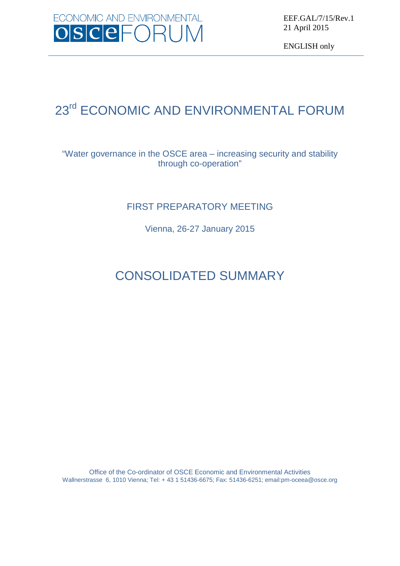

EEF.GAL/7/15/Rev.1 21 April 2015

ENGLISH only

# 23<sup>rd</sup> ECONOMIC AND ENVIRONMENTAL FORUM

### "Water governance in the OSCE area – increasing security and stability through co-operation"

## FIRST PREPARATORY MEETING

Vienna, 26-27 January 2015

# CONSOLIDATED SUMMARY

Office of the Co-ordinator of OSCE Economic and Environmental Activities Wallnerstrasse 6, 1010 Vienna; Tel: + 43 1 51436-6675; Fax: 51436-6251; emai[l:pm-oceea@osce.org](mailto:pm-oceea@osce.org)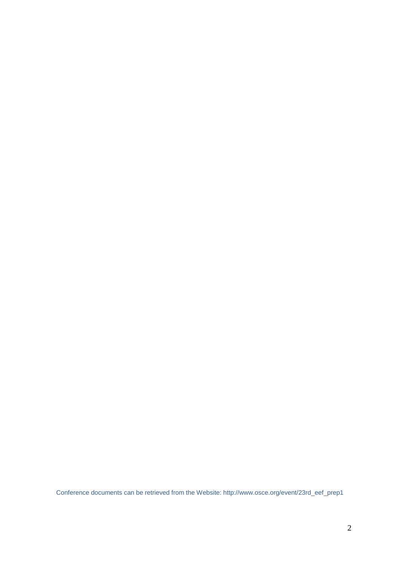Conference documents can be retrieved from the Website: [http://www.osce.org/event/23rd\\_eef\\_prep1](http://www.osce.org/event/23rd_eef_prep1)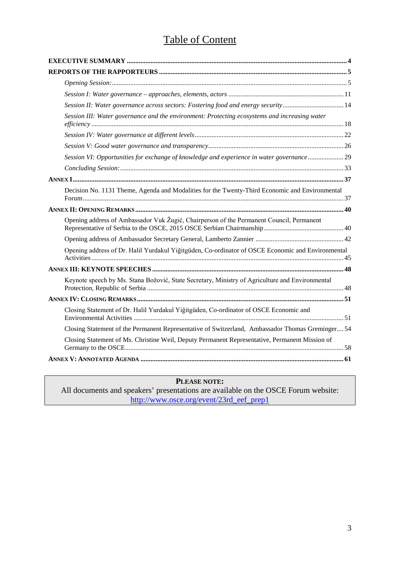## Table of Content

| Session II: Water governance across sectors: Fostering food and energy security14                 |
|---------------------------------------------------------------------------------------------------|
| Session III: Water governance and the environment: Protecting ecosystems and increasing water     |
|                                                                                                   |
|                                                                                                   |
| Session VI: Opportunities for exchange of knowledge and experience in water governance  29        |
|                                                                                                   |
|                                                                                                   |
| Decision No. 1131 Theme, Agenda and Modalities for the Twenty-Third Economic and Environmental    |
|                                                                                                   |
| Opening address of Ambassador Vuk Žugić, Chairperson of the Permanent Council, Permanent          |
|                                                                                                   |
| Opening address of Dr. Halil Yurdakul Yiğitgüden, Co-ordinator of OSCE Economic and Environmental |
|                                                                                                   |
| Keynote speech by Ms. Stana Božović, State Secretary, Ministry of Agriculture and Environmental   |
|                                                                                                   |
| Closing Statement of Dr. Halil Yurdakul Yiğitgüden, Co-ordinator of OSCE Economic and             |
| Closing Statement of the Permanent Representative of Switzerland, Ambassador Thomas Greminger 54  |
| Closing Statement of Ms. Christine Weil, Deputy Permanent Representative, Permanent Mission of    |
|                                                                                                   |

### **PLEASE NOTE:**

All documents and speakers' presentations are available on the OSCE Forum website: [http://www.osce.org/event/23rd\\_eef\\_prep1](http://www.osce.org/event/23rd_eef_prep1)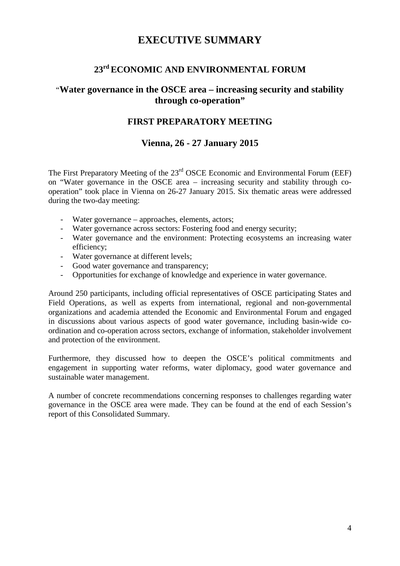## **EXECUTIVE SUMMARY**

## **23rd ECONOMIC AND ENVIRONMENTAL FORUM**

### <span id="page-3-0"></span>"**Water governance in the OSCE area – increasing security and stability through co-operation"**

#### **FIRST PREPARATORY MEETING**

### **Vienna, 26 - 27 January 2015**

The First Preparatory Meeting of the 23<sup>rd</sup> OSCE Economic and Environmental Forum (EEF) on "Water governance in the OSCE area – increasing security and stability through cooperation" took place in Vienna on 26-27 January 2015. Six thematic areas were addressed during the two-day meeting:

- Water governance approaches, elements, actors;
- Water governance across sectors: Fostering food and energy security;
- Water governance and the environment: Protecting ecosystems an increasing water efficiency;
- Water governance at different levels;
- Good water governance and transparency;
- Opportunities for exchange of knowledge and experience in water governance.

Around 250 participants, including official representatives of OSCE participating States and Field Operations, as well as experts from international, regional and non-governmental organizations and academia attended the Economic and Environmental Forum and engaged in discussions about various aspects of good water governance, including basin-wide coordination and co-operation across sectors, exchange of information, stakeholder involvement and protection of the environment.

Furthermore, they discussed how to deepen the OSCE's political commitments and engagement in supporting water reforms, water diplomacy, good water governance and sustainable water management.

A number of concrete recommendations concerning responses to challenges regarding water governance in the OSCE area were made. They can be found at the end of each Session's report of this Consolidated Summary.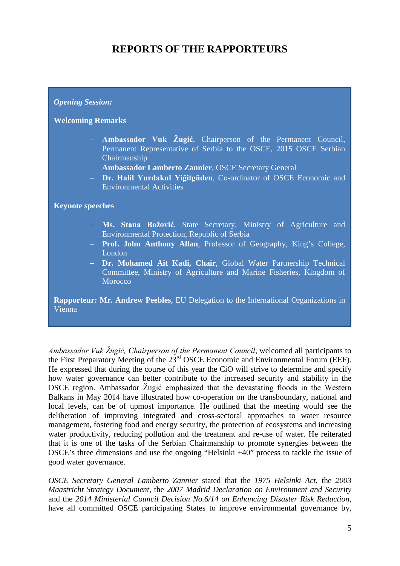## **REPORTS OF THE RAPPORTEURS**

#### <span id="page-4-0"></span>*Opening Session:*

#### **Welcoming Remarks**

- − **Ambassador Vuk Žugić**, Chairperson of the Permanent Council, Permanent Representative of Serbia to the OSCE, 2015 OSCE Serbian Chairmanship
- − **Ambassador Lamberto Zannier**, OSCE Secretary General
- − **Dr. Halil Yurdakul Yiğitgüden**, Co-ordinator of OSCE Economic and Environmental Activities

**Keynote speeches** 

- − **Ms. Stana Božović**, State Secretary, Ministry of Agriculture and Environmental Protection, Republic of Serbia
- − **Prof. John Anthony Allan**, Professor of Geography, King's College, London
- − **Dr. Mohamed Ait Kadi, Chair**, Global Water Partnership Technical Committee, Ministry of Agriculture and Marine Fisheries, Kingdom of **Morocco**

**Rapporteur: Mr. Andrew Peebles**, EU Delegation to the International Organizations in Vienna

*Ambassador Vuk Žugić, Chairperson of the Permanent Council*, welcomed all participants to the First Preparatory Meeting of the 23rd OSCE Economic and Environmental Forum (EEF). He expressed that during the course of this year the CiO will strive to determine and specify how water governance can better contribute to the increased security and stability in the OSCE region. Ambassador Žugić emphasized that the devastating floods in the Western Balkans in May 2014 have illustrated how co-operation on the transboundary, national and local levels, can be of upmost importance. He outlined that the meeting would see the deliberation of improving integrated and cross-sectoral approaches to water resource management, fostering food and energy security, the protection of ecosystems and increasing water productivity, reducing pollution and the treatment and re-use of water. He reiterated that it is one of the tasks of the Serbian Chairmanship to promote synergies between the OSCE's three dimensions and use the ongoing "Helsinki +40" process to tackle the issue of good water governance.

*OSCE Secretary General Lamberto Zannier* stated that the *1975 Helsinki Act*, the *2003 Maastricht Strategy Document*, the *2007 Madrid Declaration on Environment and Security* and the *2014 Ministerial Council Decision No.6/14 on Enhancing Disaster Risk Reduction*, have all committed OSCE participating States to improve environmental governance by,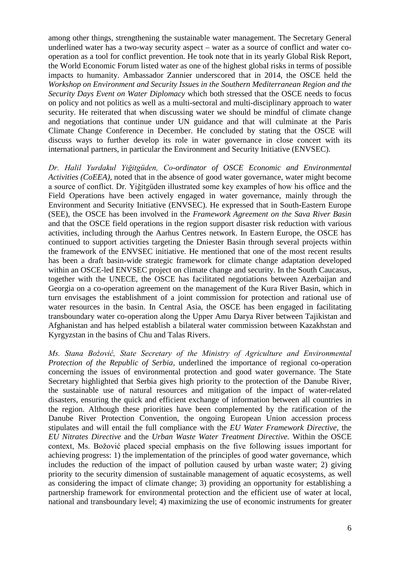among other things, strengthening the sustainable water management. The Secretary General underlined water has a two-way security aspect – water as a source of conflict and water cooperation as a tool for conflict prevention. He took note that in its yearly Global Risk Report, the World Economic Forum listed water as one of the highest global risks in terms of possible impacts to humanity. Ambassador Zannier underscored that in 2014, the OSCE held the *Workshop on Environment and Security Issues in the Southern Mediterranean Region and the Security Days Event on Water Diplomacy* which both stressed that the OSCE needs to focus on policy and not politics as well as a multi-sectoral and multi-disciplinary approach to water security. He reiterated that when discussing water we should be mindful of climate change and negotiations that continue under UN guidance and that will culminate at the Paris Climate Change Conference in December. He concluded by stating that the OSCE will discuss ways to further develop its role in water governance in close concert with its international partners, in particular the Environment and Security Initiative (ENVSEC).

*Dr. Halil Yurdakul Yiğitgüden, Co-ordinator of OSCE Economic and Environmental Activities (CoEEA),* noted that in the absence of good water governance, water might become a source of conflict. Dr. Yiğitgüden illustrated some key examples of how his office and the Field Operations have been actively engaged in water governance, mainly through the Environment and Security Initiative (ENVSEC). He expressed that in South-Eastern Europe (SEE), the OSCE has been involved in the *Framework Agreement on the Sava River Basin* and that the OSCE field operations in the region support disaster risk reduction with various activities, including through the Aarhus Centres network. In Eastern Europe, the OSCE has continued to support activities targeting the Dniester Basin through several projects within the framework of the ENVSEC initiative. He mentioned that one of the most recent results has been a draft basin-wide strategic framework for climate change adaptation developed within an OSCE-led ENVSEC project on climate change and security. In the South Caucasus, together with the UNECE, the OSCE has facilitated negotiations between Azerbaijan and Georgia on a co-operation agreement on the management of the Kura River Basin, which in turn envisages the establishment of a joint commission for protection and rational use of water resources in the basin. In Central Asia, the OSCE has been engaged in facilitating transboundary water co-operation along the Upper Amu Darya River between Tajikistan and Afghanistan and has helped establish a bilateral water commission between Kazakhstan and Kyrgyzstan in the basins of Chu and Talas Rivers.

*Ms. Stana Božović, State Secretary of the Ministry of Agriculture and Environmental Protection of the Republic of Serbia,* underlined the importance of regional co-operation concerning the issues of environmental protection and good water governance. The State Secretary highlighted that Serbia gives high priority to the protection of the Danube River, the sustainable use of natural resources and mitigation of the impact of water-related disasters, ensuring the quick and efficient exchange of information between all countries in the region. Although these priorities have been complemented by the ratification of the Danube River Protection Convention, the ongoing European Union accession process stipulates and will entail the full compliance with the *EU Water Framework Directive,* the *EU Nitrates Directive* and the *Urban Waste Water Treatment Directive.* Within the OSCE context, Ms. Božović placed special emphasis on the five following issues important for achieving progress: 1) the implementation of the principles of good water governance, which includes the reduction of the impact of pollution caused by urban waste water; 2) giving priority to the security dimension of sustainable management of aquatic ecosystems, as well as considering the impact of climate change; 3) providing an opportunity for establishing a partnership framework for environmental protection and the efficient use of water at local, national and transboundary level; 4) maximizing the use of economic instruments for greater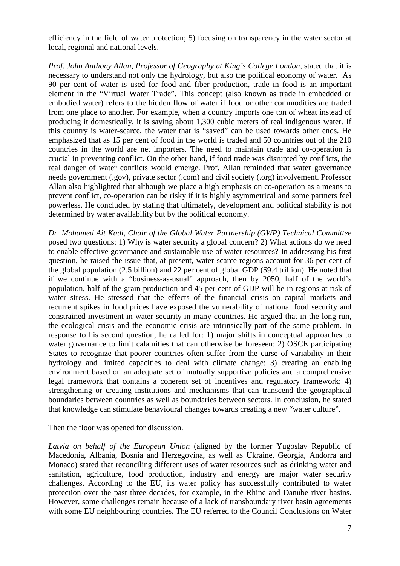efficiency in the field of water protection; 5) focusing on transparency in the water sector at local, regional and national levels.

*Prof. John Anthony Allan, Professor of Geography at King's College London, stated that it is* necessary to understand not only the hydrology, but also the political economy of water. As 90 per cent of water is used for food and fiber production, trade in food is an important element in the "Virtual Water Trade". This concept (also known as trade in embedded or embodied water) refers to the hidden flow of water if food or other commodities are traded from one place to another. For example, when a country imports one ton of wheat instead of producing it domestically, it is saving about 1,300 cubic meters of real indigenous water. If this country is water-scarce, the water that is "saved" can be used towards other ends. He emphasized that as 15 per cent of food in the world is traded and 50 countries out of the 210 countries in the world are net importers. The need to maintain trade and co-operation is crucial in preventing conflict. On the other hand, if food trade was disrupted by conflicts, the real danger of water conflicts would emerge. Prof. Allan reminded that water governance needs government (.gov), private sector (.com) and civil society (.org) involvement. Professor Allan also highlighted that although we place a high emphasis on co-operation as a means to prevent conflict, co-operation can be risky if it is highly asymmetrical and some partners feel powerless. He concluded by stating that ultimately, development and political stability is not determined by water availability but by the political economy.

*Dr. Mohamed Ait Kadi, Chair of the Global Water Partnership (GWP) Technical Committee*  posed two questions: 1) Why is water security a global concern? 2) What actions do we need to enable effective governance and sustainable use of water resources? In addressing his first question, he raised the issue that, at present, water-scarce regions account for 36 per cent of the global population (2.5 billion) and 22 per cent of global GDP (\$9.4 trillion). He noted that if we continue with a "business-as-usual" approach, then by 2050, half of the world's population, half of the grain production and 45 per cent of GDP will be in regions at risk of water stress. He stressed that the effects of the financial crisis on capital markets and recurrent spikes in food prices have exposed the vulnerability of national food security and constrained investment in water security in many countries. He argued that in the long-run, the ecological crisis and the economic crisis are intrinsically part of the same problem. In response to his second question, he called for: 1) major shifts in conceptual approaches to water governance to limit calamities that can otherwise be foreseen: 2) OSCE participating States to recognize that poorer countries often suffer from the curse of variability in their hydrology and limited capacities to deal with climate change; 3) creating an enabling environment based on an adequate set of mutually supportive policies and a comprehensive legal framework that contains a coherent set of incentives and regulatory framework; 4) strengthening or creating institutions and mechanisms that can transcend the geographical boundaries between countries as well as boundaries between sectors. In conclusion, he stated that knowledge can stimulate behavioural changes towards creating a new "water culture".

Then the floor was opened for discussion.

*Latvia on behalf of the European Union* (aligned by the former Yugoslav Republic of Macedonia, Albania, Bosnia and Herzegovina, as well as Ukraine, Georgia, Andorra and Monaco) stated that reconciling different uses of water resources such as drinking water and sanitation, agriculture, food production, industry and energy are major water security challenges. According to the EU, its water policy has successfully contributed to water protection over the past three decades, for example, in the Rhine and Danube river basins. However, some challenges remain because of a lack of transboundary river basin agreements with some EU neighbouring countries. The EU referred to the Council Conclusions on Water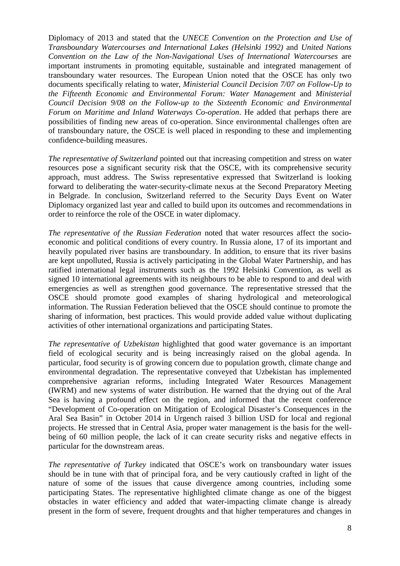Diplomacy of 2013 and stated that the *UNECE Convention on the Protection and Use of Transboundary Watercourses and International Lakes (Helsinki 1992)* and *United Nations Convention on the Law of the Non-Navigational Uses of International Watercourses* are important instruments in promoting equitable, sustainable and integrated management of transboundary water resources. The European Union noted that the OSCE has only two documents specifically relating to water, *Ministerial Council Decision 7/07 on Follow-Up to the Fifteenth Economic and Environmental Forum: Water Management* and *Ministerial Council Decision 9/08 on the Follow-up to the Sixteenth Economic and Environmental Forum on Maritime and Inland Waterways Co-operation*. He added that perhaps there are possibilities of finding new areas of co-operation. Since environmental challenges often are of transboundary nature, the OSCE is well placed in responding to these and implementing confidence-building measures.

*The representative of Switzerland* pointed out that increasing competition and stress on water resources pose a significant security risk that the OSCE, with its comprehensive security approach, must address. The Swiss representative expressed that Switzerland is looking forward to deliberating the water-security-climate nexus at the Second Preparatory Meeting in Belgrade. In conclusion, Switzerland referred to the Security Days Event on Water Diplomacy organized last year and called to build upon its outcomes and recommendations in order to reinforce the role of the OSCE in water diplomacy.

*The representative of the Russian Federation* noted that water resources affect the socioeconomic and political conditions of every country. In Russia alone, 17 of its important and heavily populated river basins are transboundary. In addition, to ensure that its river basins are kept unpolluted, Russia is actively participating in the Global Water Partnership, and has ratified international legal instruments such as the 1992 Helsinki Convention, as well as signed 10 international agreements with its neighbours to be able to respond to and deal with emergencies as well as strengthen good governance. The representative stressed that the OSCE should promote good examples of sharing hydrological and meteorological information. The Russian Federation believed that the OSCE should continue to promote the sharing of information, best practices. This would provide added value without duplicating activities of other international organizations and participating States.

*The representative of Uzbekistan* highlighted that good water governance is an important field of ecological security and is being increasingly raised on the global agenda. In particular, food security is of growing concern due to population growth, climate change and environmental degradation. The representative conveyed that Uzbekistan has implemented comprehensive agrarian reforms, including Integrated Water Resources Management (IWRM) and new systems of water distribution. He warned that the drying out of the Aral Sea is having a profound effect on the region, and informed that the recent conference "Development of Co-operation on Mitigation of Ecological Disaster's Consequences in the Aral Sea Basin" in October 2014 in Urgench raised 3 billion USD for local and regional projects. He stressed that in Central Asia, proper water management is the basis for the wellbeing of 60 million people, the lack of it can create security risks and negative effects in particular for the downstream areas.

*The representative of Turkey* indicated that OSCE's work on transboundary water issues should be in tune with that of principal fora, and be very cautiously crafted in light of the nature of some of the issues that cause divergence among countries, including some participating States. The representative highlighted climate change as one of the biggest obstacles in water efficiency and added that water-impacting climate change is already present in the form of severe, frequent droughts and that higher temperatures and changes in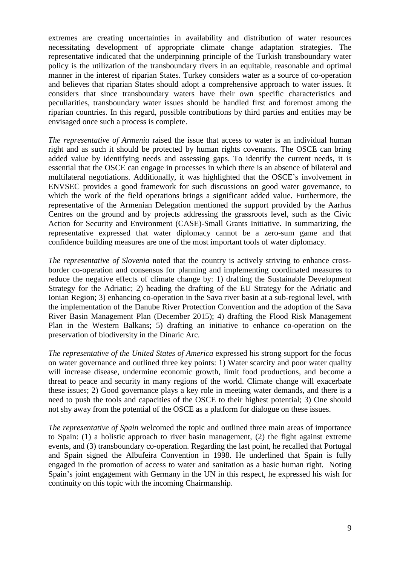extremes are creating uncertainties in availability and distribution of water resources necessitating development of appropriate climate change adaptation strategies. The representative indicated that the underpinning principle of the Turkish transboundary water policy is the utilization of the transboundary rivers in an equitable, reasonable and optimal manner in the interest of riparian States. Turkey considers water as a source of co-operation and believes that riparian States should adopt a comprehensive approach to water issues. It considers that since transboundary waters have their own specific characteristics and peculiarities, transboundary water issues should be handled first and foremost among the riparian countries. In this regard, possible contributions by third parties and entities may be envisaged once such a process is complete.

*The representative of Armenia* raised the issue that access to water is an individual human right and as such it should be protected by human rights covenants. The OSCE can bring added value by identifying needs and assessing gaps. To identify the current needs, it is essential that the OSCE can engage in processes in which there is an absence of bilateral and multilateral negotiations. Additionally, it was highlighted that the OSCE's involvement in ENVSEC provides a good framework for such discussions on good water governance, to which the work of the field operations brings a significant added value. Furthermore, the representative of the Armenian Delegation mentioned the support provided by the Aarhus Centres on the ground and by projects addressing the grassroots level, such as the Civic Action for Security and Environment (CASE)-Small Grants Initiative. In summarizing, the representative expressed that water diplomacy cannot be a zero-sum game and that confidence building measures are one of the most important tools of water diplomacy.

*The representative of Slovenia* noted that the country is actively striving to enhance crossborder co-operation and consensus for planning and implementing coordinated measures to reduce the negative effects of climate change by: 1) drafting the Sustainable Development Strategy for the Adriatic; 2) heading the drafting of the EU Strategy for the Adriatic and Ionian Region; 3) enhancing co-operation in the Sava river basin at a sub-regional level, with the implementation of the Danube River Protection Convention and the adoption of the Sava River Basin Management Plan (December 2015); 4) drafting the Flood Risk Management Plan in the Western Balkans; 5) drafting an initiative to enhance co-operation on the preservation of biodiversity in the Dinaric Arc.

*The representative of the United States of America* expressed his strong support for the focus on water governance and outlined three key points: 1) Water scarcity and poor water quality will increase disease, undermine economic growth, limit food productions, and become a threat to peace and security in many regions of the world. Climate change will exacerbate these issues; 2) Good governance plays a key role in meeting water demands, and there is a need to push the tools and capacities of the OSCE to their highest potential; 3) One should not shy away from the potential of the OSCE as a platform for dialogue on these issues.

*The representative of Spain* welcomed the topic and outlined three main areas of importance to Spain: (1) a holistic approach to river basin management, (2) the fight against extreme events, and (3) transboundary co-operation. Regarding the last point, he recalled that Portugal and Spain signed the Albufeira Convention in 1998. He underlined that Spain is fully engaged in the promotion of access to water and sanitation as a basic human right. Noting Spain's joint engagement with Germany in the UN in this respect, he expressed his wish for continuity on this topic with the incoming Chairmanship.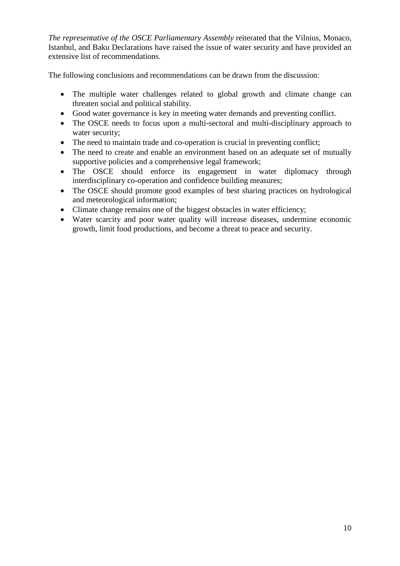*The representative of the OSCE Parliamentary Assembly* reiterated that the Vilnius, Monaco, Istanbul, and Baku Declarations have raised the issue of water security and have provided an extensive list of recommendations.

The following conclusions and recommendations can be drawn from the discussion:

- The multiple water challenges related to global growth and climate change can threaten social and political stability.
- Good water governance is key in meeting water demands and preventing conflict.
- The OSCE needs to focus upon a multi-sectoral and multi-disciplinary approach to water security;
- The need to maintain trade and co-operation is crucial in preventing conflict;
- The need to create and enable an environment based on an adequate set of mutually supportive policies and a comprehensive legal framework;
- The OSCE should enforce its engagement in water diplomacy through interdisciplinary co-operation and confidence building measures;
- The OSCE should promote good examples of best sharing practices on hydrological and meteorological information;
- Climate change remains one of the biggest obstacles in water efficiency;
- Water scarcity and poor water quality will increase diseases, undermine economic growth, limit food productions, and become a threat to peace and security.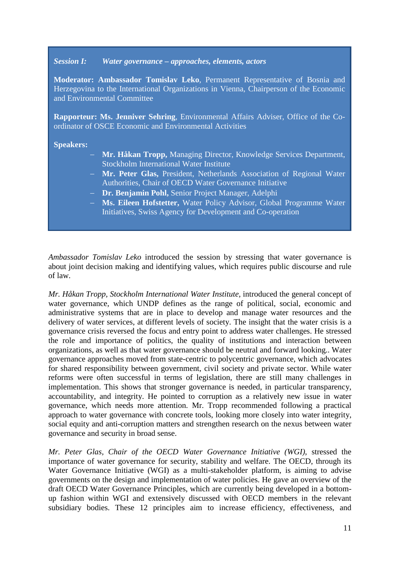#### *Session I: Water governance – approaches, elements, actors*

**Moderator: Ambassador Tomislav Leko**, Permanent Representative of Bosnia and Herzegovina to the International Organizations in Vienna, Chairperson of the Economic and Environmental Committee

**Rapporteur: Ms. Jenniver Sehring**, Environmental Affairs Adviser, Office of the Coordinator of OSCE Economic and Environmental Activities

#### **Speakers:**

- − **Mr. Håkan Tropp,** Managing Director, Knowledge Services Department, Stockholm International Water Institute
- − **Mr. Peter Glas,** President, Netherlands Association of Regional Water Authorities, Chair of OECD Water Governance Initiative
- − **Dr. Benjamin Pohl,** Senior Project Manager, Adelphi
- − **Ms. Eileen Hofstetter,** Water Policy Advisor, Global Programme Water Initiatives, Swiss Agency for Development and Co-operation

*Ambassador Tomislav Leko* introduced the session by stressing that water governance is about joint decision making and identifying values, which requires public discourse and rule of law.

*Mr. Håkan Tropp, Stockholm International Water Institute,* introduced the general concept of water governance, which UNDP defines as the range of political, social, economic and administrative systems that are in place to develop and manage water resources and the delivery of water services, at different levels of society. The insight that the water crisis is a governance crisis reversed the focus and entry point to address water challenges. He stressed the role and importance of politics, the quality of institutions and interaction between organizations, as well as that water governance should be neutral and forward looking.. Water governance approaches moved from state-centric to polycentric governance, which advocates for shared responsibility between government, civil society and private sector. While water reforms were often successful in terms of legislation, there are still many challenges in implementation. This shows that stronger governance is needed, in particular transparency, accountability, and integrity. He pointed to corruption as a relatively new issue in water governance, which needs more attention. Mr. Tropp recommended following a practical approach to water governance with concrete tools, looking more closely into water integrity, social equity and anti-corruption matters and strengthen research on the nexus between water governance and security in broad sense.

*Mr. Peter Glas, Chair of the OECD Water Governance Initiative (WGI)*, stressed the importance of water governance for security, stability and welfare. The OECD, through its Water Governance Initiative (WGI) as a multi-stakeholder platform, is aiming to advise governments on the design and implementation of water policies. He gave an overview of the draft OECD Water Governance Principles, which are currently being developed in a bottomup fashion within WGI and extensively discussed with OECD members in the relevant subsidiary bodies. These 12 principles aim to increase efficiency, effectiveness, and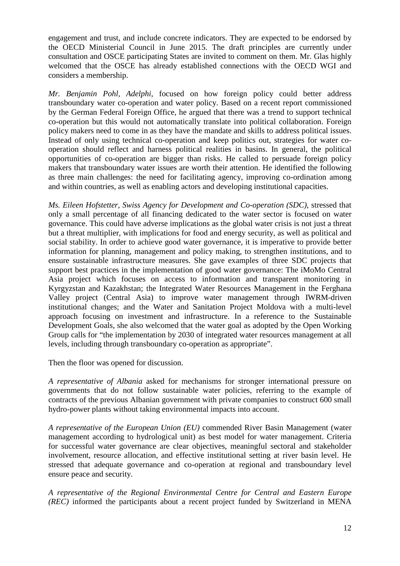engagement and trust, and include concrete indicators. They are expected to be endorsed by the OECD Ministerial Council in June 2015. The draft principles are currently under consultation and OSCE participating States are invited to comment on them. Mr. Glas highly welcomed that the OSCE has already established connections with the OECD WGI and considers a membership.

*Mr. Benjamin Pohl, Adelphi*, focused on how foreign policy could better address transboundary water co-operation and water policy. Based on a recent report commissioned by the German Federal Foreign Office, he argued that there was a trend to support technical co-operation but this would not automatically translate into political collaboration. Foreign policy makers need to come in as they have the mandate and skills to address political issues. Instead of only using technical co-operation and keep politics out, strategies for water cooperation should reflect and harness political realities in basins. In general, the political opportunities of co-operation are bigger than risks. He called to persuade foreign policy makers that transboundary water issues are worth their attention. He identified the following as three main challenges: the need for facilitating agency, improving co-ordination among and within countries, as well as enabling actors and developing institutional capacities.

*Ms. Eileen Hofstetter, Swiss Agency for Development and Co-operation (SDC)*, stressed that only a small percentage of all financing dedicated to the water sector is focused on water governance. This could have adverse implications as the global water crisis is not just a threat but a threat multiplier, with implications for food and energy security, as well as political and social stability. In order to achieve good water governance, it is imperative to provide better information for planning, management and policy making, to strengthen institutions, and to ensure sustainable infrastructure measures. She gave examples of three SDC projects that support best practices in the implementation of good water governance: The iMoMo Central Asia project which focuses on access to information and transparent monitoring in Kyrgyzstan and Kazakhstan; the Integrated Water Resources Management in the Ferghana Valley project (Central Asia) to improve water management through IWRM-driven institutional changes; and the Water and Sanitation Project Moldova with a multi-level approach focusing on investment and infrastructure. In a reference to the Sustainable Development Goals, she also welcomed that the water goal as adopted by the Open Working Group calls for "the implementation by 2030 of integrated water resources management at all levels, including through transboundary co-operation as appropriate".

Then the floor was opened for discussion.

*A representative of Albania* asked for mechanisms for stronger international pressure on governments that do not follow sustainable water policies, referring to the example of contracts of the previous Albanian government with private companies to construct 600 small hydro-power plants without taking environmental impacts into account.

*A representative of the European Union (EU)* commended River Basin Management (water management according to hydrological unit) as best model for water management. Criteria for successful water governance are clear objectives, meaningful sectoral and stakeholder involvement, resource allocation, and effective institutional setting at river basin level. He stressed that adequate governance and co-operation at regional and transboundary level ensure peace and security.

*A representative of the Regional Environmental Centre for Central and Eastern Europe (REC)* informed the participants about a recent project funded by Switzerland in MENA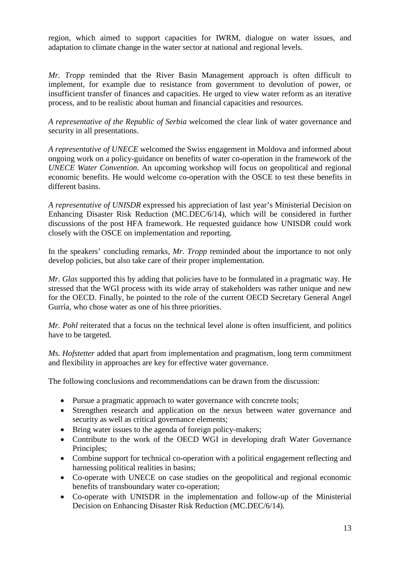region, which aimed to support capacities for IWRM, dialogue on water issues, and adaptation to climate change in the water sector at national and regional levels.

*Mr. Tropp* reminded that the River Basin Management approach is often difficult to implement, for example due to resistance from government to devolution of power, or insufficient transfer of finances and capacities. He urged to view water reform as an iterative process, and to be realistic about human and financial capacities and resources.

*A representative of the Republic of Serbia* welcomed the clear link of water governance and security in all presentations.

*A representative of UNECE* welcomed the Swiss engagement in Moldova and informed about ongoing work on a policy-guidance on benefits of water co-operation in the framework of the *UNECE Water Convention*. An upcoming workshop will focus on geopolitical and regional economic benefits. He would welcome co-operation with the OSCE to test these benefits in different basins.

*A representative of UNISDR* expressed his appreciation of last year's Ministerial Decision on Enhancing Disaster Risk Reduction (MC.DEC/6/14), which will be considered in further discussions of the post HFA framework. He requested guidance how UNISDR could work closely with the OSCE on implementation and reporting.

In the speakers' concluding remarks, *Mr. Tropp* reminded about the importance to not only develop policies, but also take care of their proper implementation.

*Mr. Glas* supported this by adding that policies have to be formulated in a pragmatic way. He stressed that the WGI process with its wide array of stakeholders was rather unique and new for the OECD. Finally, he pointed to the role of the current OECD Secretary General Angel Gurría, who chose water as one of his three priorities.

*Mr. Pohl* reiterated that a focus on the technical level alone is often insufficient, and politics have to be targeted.

*Ms. Hofstetter* added that apart from implementation and pragmatism, long term commitment and flexibility in approaches are key for effective water governance.

The following conclusions and recommendations can be drawn from the discussion:

- Pursue a pragmatic approach to water governance with concrete tools;
- Strengthen research and application on the nexus between water governance and security as well as critical governance elements;
- Bring water issues to the agenda of foreign policy-makers;
- Contribute to the work of the OECD WGI in developing draft Water Governance Principles;
- Combine support for technical co-operation with a political engagement reflecting and harnessing political realities in basins;
- Co-operate with UNECE on case studies on the geopolitical and regional economic benefits of transboundary water co-operation;
- Co-operate with UNISDR in the implementation and follow-up of the Ministerial Decision on Enhancing Disaster Risk Reduction (MC.DEC/6/14).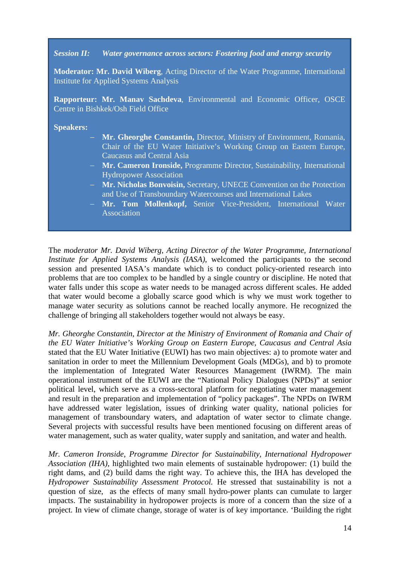#### *Session II: Water governance across sectors: Fostering food and energy security*

**Moderator: Mr. David Wiberg**, Acting Director of the Water Programme, International Institute for Applied Systems Analysis

**Rapporteur: Mr. Manav Sachdeva**, Environmental and Economic Officer, OSCE Centre in Bishkek/Osh Field Office

**Speakers:** 

- − **Mr. Gheorghe Constantin,** Director, Ministry of Environment, Romania, Chair of the EU Water Initiative's Working Group on Eastern Europe, Caucasus and Central Asia
- − **Mr. Cameron Ironside,** Programme Director, Sustainability, International Hydropower Association
- − **Mr. Nicholas Bonvoisin,** Secretary, UNECE Convention on the Protection and Use of Transboundary Watercourses and International Lakes
- Mr. Tom Mollenkopf, Senior Vice-President, International Water Association

The *moderator Mr. David Wiberg, Acting Director of the Water Programme, International Institute for Applied Systems Analysis (IASA)*, welcomed the participants to the second session and presented IASA's mandate which is to conduct policy-oriented research into problems that are too complex to be handled by a single country or discipline. He noted that water falls under this scope as water needs to be managed across different scales. He added that water would become a globally scarce good which is why we must work together to manage water security as solutions cannot be reached locally anymore. He recognized the challenge of bringing all stakeholders together would not always be easy.

*Mr. Gheorghe Constantin*, *Director at the Ministry of Environment of Romania and Chair of the EU Water Initiative's Working Group on Eastern Europe, Caucasus and Central Asia* stated that the EU Water Initiative (EUWI) has two main objectives: a) to promote water and sanitation in order to meet the Millennium Development Goals (MDGs), and b) to promote the implementation of Integrated Water Resources Management (IWRM). The main operational instrument of the EUWI are the "National Policy Dialogues (NPDs)" at senior political level, which serve as a cross-sectoral platform for negotiating water management and result in the preparation and implementation of "policy packages". The NPDs on IWRM have addressed water legislation, issues of drinking water quality, national policies for management of transboundary waters, and adaptation of water sector to climate change. Several projects with successful results have been mentioned focusing on different areas of water management, such as water quality, water supply and sanitation, and water and health.

*Mr. Cameron Ironside*, *Programme Director for Sustainability, International Hydropower Association (IHA),* highlighted two main elements of sustainable hydropower: (1) build the right dams, and (2) build dams the right way. To achieve this, the IHA has developed the *Hydropower Sustainability Assessment Protocol.* He stressed that sustainability is not a question of size, as the effects of many small hydro-power plants can cumulate to larger impacts. The sustainability in hydropower projects is more of a concern than the size of a project. In view of climate change, storage of water is of key importance. 'Building the right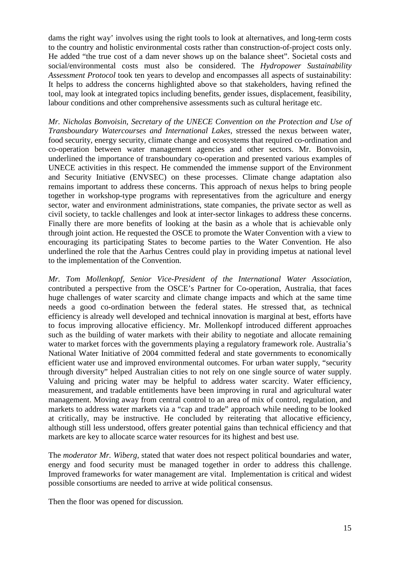dams the right way' involves using the right tools to look at alternatives, and long-term costs to the country and holistic environmental costs rather than construction-of-project costs only. He added "the true cost of a dam never shows up on the balance sheet". Societal costs and social/environmental costs must also be considered. The *Hydropower Sustainability Assessment Protocol* took ten years to develop and encompasses all aspects of sustainability: It helps to address the concerns highlighted above so that stakeholders, having refined the tool, may look at integrated topics including benefits, gender issues, displacement, feasibility, labour conditions and other comprehensive assessments such as cultural heritage etc.

*Mr. Nicholas Bonvoisin, Secretary of the UNECE Convention on the Protection and Use of Transboundary Watercourses and International Lakes*, stressed the nexus between water, food security, energy security, climate change and ecosystems that required co-ordination and co-operation between water management agencies and other sectors. Mr. Bonvoisin, underlined the importance of transboundary co-operation and presented various examples of UNECE activities in this respect. He commended the immense support of the Environment and Security Initiative (ENVSEC) on these processes. Climate change adaptation also remains important to address these concerns. This approach of nexus helps to bring people together in workshop-type programs with representatives from the agriculture and energy sector, water and environment administrations, state companies, the private sector as well as civil society, to tackle challenges and look at inter-sector linkages to address these concerns. Finally there are more benefits of looking at the basin as a whole that is achievable only through joint action. He requested the OSCE to promote the Water Convention with a view to encouraging its participating States to become parties to the Water Convention. He also underlined the role that the Aarhus Centres could play in providing impetus at national level to the implementation of the Convention.

*Mr. Tom Mollenkopf, Senior Vice-President of the International Water Association,*  contributed a perspective from the OSCE's Partner for Co-operation, Australia, that faces huge challenges of water scarcity and climate change impacts and which at the same time needs a good co-ordination between the federal states. He stressed that, as technical efficiency is already well developed and technical innovation is marginal at best, efforts have to focus improving allocative efficiency. Mr. Mollenkopf introduced different approaches such as the building of water markets with their ability to negotiate and allocate remaining water to market forces with the governments playing a regulatory framework role. Australia's National Water Initiative of 2004 committed federal and state governments to economically efficient water use and improved environmental outcomes. For urban water supply, "security through diversity" helped Australian cities to not rely on one single source of water supply. Valuing and pricing water may be helpful to address water scarcity. Water efficiency, measurement, and tradable entitlements have been improving in rural and agricultural water management. Moving away from central control to an area of mix of control, regulation, and markets to address water markets via a "cap and trade" approach while needing to be looked at critically, may be instructive. He concluded by reiterating that allocative efficiency, although still less understood, offers greater potential gains than technical efficiency and that markets are key to allocate scarce water resources for its highest and best use*.*

The *moderator Mr. Wiberg,* stated that water does not respect political boundaries and water, energy and food security must be managed together in order to address this challenge. Improved frameworks for water management are vital. Implementation is critical and widest possible consortiums are needed to arrive at wide political consensus.

Then the floor was opened for discussion*.*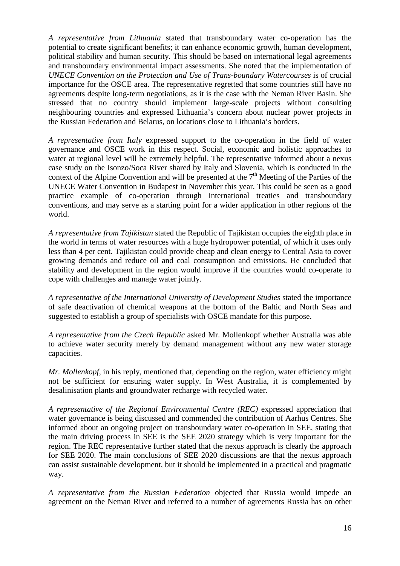*A representative from Lithuania* stated that transboundary water co-operation has the potential to create significant benefits; it can enhance economic growth, human development, political stability and human security. This should be based on international legal agreements and transboundary environmental impact assessments. She noted that the implementation of *UNECE Convention on the Protection and Use of Trans-boundary Watercourses* is of crucial importance for the OSCE area. The representative regretted that some countries still have no agreements despite long-term negotiations, as it is the case with the Neman River Basin. She stressed that no country should implement large-scale projects without consulting neighbouring countries and expressed Lithuania's concern about nuclear power projects in the Russian Federation and Belarus, on locations close to Lithuania's borders.

*A representative from Italy* expressed support to the co-operation in the field of water governance and OSCE work in this respect. Social, economic and holistic approaches to water at regional level will be extremely helpful. The representative informed about a nexus case study on the Isonzo/Soca River shared by Italy and Slovenia, which is conducted in the context of the Alpine Convention and will be presented at the  $7<sup>th</sup>$  Meeting of the Parties of the UNECE Water Convention in Budapest in November this year. This could be seen as a good practice example of co-operation through international treaties and transboundary conventions, and may serve as a starting point for a wider application in other regions of the world.

*A representative from Tajikistan* stated the Republic of Tajikistan occupies the eighth place in the world in terms of water resources with a huge hydropower potential, of which it uses only less than 4 per cent. Tajikistan could provide cheap and clean energy to Central Asia to cover growing demands and reduce oil and coal consumption and emissions. He concluded that stability and development in the region would improve if the countries would co-operate to cope with challenges and manage water jointly.

*A representative of the International University of Development Studies* stated the importance of safe deactivation of chemical weapons at the bottom of the Baltic and North Seas and suggested to establish a group of specialists with OSCE mandate for this purpose.

*A representative from the Czech Republic* asked Mr. Mollenkopf whether Australia was able to achieve water security merely by demand management without any new water storage capacities.

*Mr. Mollenkopf*, in his reply, mentioned that, depending on the region, water efficiency might not be sufficient for ensuring water supply. In West Australia, it is complemented by desalinisation plants and groundwater recharge with recycled water.

*A representative of the Regional Environmental Centre (REC)* expressed appreciation that water governance is being discussed and commended the contribution of Aarhus Centres. She informed about an ongoing project on transboundary water co-operation in SEE, stating that the main driving process in SEE is the SEE 2020 strategy which is very important for the region. The REC representative further stated that the nexus approach is clearly the approach for SEE 2020. The main conclusions of SEE 2020 discussions are that the nexus approach can assist sustainable development, but it should be implemented in a practical and pragmatic way.

*A representative from the Russian Federation* objected that Russia would impede an agreement on the Neman River and referred to a number of agreements Russia has on other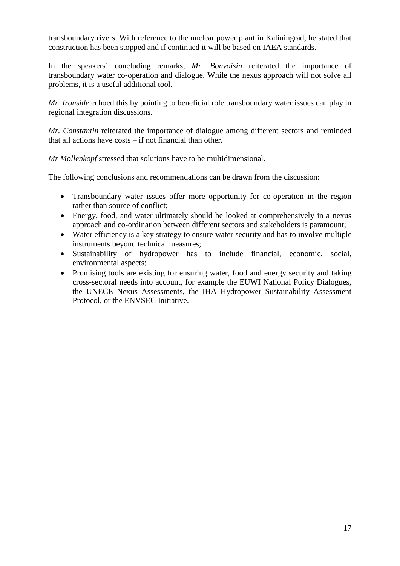transboundary rivers. With reference to the nuclear power plant in Kaliningrad, he stated that construction has been stopped and if continued it will be based on IAEA standards.

In the speakers' concluding remarks, *Mr. Bonvoisin* reiterated the importance of transboundary water co-operation and dialogue. While the nexus approach will not solve all problems, it is a useful additional tool.

*Mr. Ironside* echoed this by pointing to beneficial role transboundary water issues can play in regional integration discussions.

*Mr. Constantin* reiterated the importance of dialogue among different sectors and reminded that all actions have costs – if not financial than other.

*Mr Mollenkopf* stressed that solutions have to be multidimensional.

The following conclusions and recommendations can be drawn from the discussion:

- Transboundary water issues offer more opportunity for co-operation in the region rather than source of conflict;
- Energy, food, and water ultimately should be looked at comprehensively in a nexus approach and co-ordination between different sectors and stakeholders is paramount;
- Water efficiency is a key strategy to ensure water security and has to involve multiple instruments beyond technical measures;
- Sustainability of hydropower has to include financial, economic, social, environmental aspects;
- Promising tools are existing for ensuring water, food and energy security and taking cross-sectoral needs into account, for example the EUWI National Policy Dialogues, the UNECE Nexus Assessments, the IHA Hydropower Sustainability Assessment Protocol, or the ENVSEC Initiative.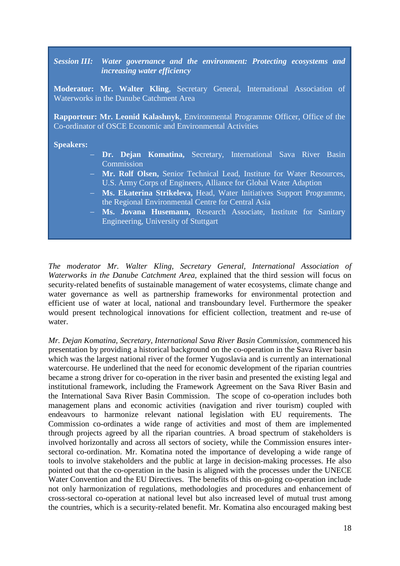#### *Session III: Water governance and the environment: Protecting ecosystems and increasing water efficiency*

**Moderator: Mr. Walter Kling**, Secretary General, International Association of Waterworks in the Danube Catchment Area

**Rapporteur: Mr. Leonid Kalashnyk**, Environmental Programme Officer, Office of the Co-ordinator of OSCE Economic and Environmental Activities

#### **Speakers:**

- Dr. Dejan Komatina, Secretary, International Sava River Basin **Commission**
- **Mr. Rolf Olsen, Senior Technical Lead, Institute for Water Resources.** U.S. Army Corps of Engineers, Alliance for Global Water Adaption
- − **Ms. Ekaterina Strikeleva,** Head, Water Initiatives Support Programme, the Regional Environmental Centre for Central Asia
- − **Ms. Jovana Husemann,** Research Associate, Institute for Sanitary Engineering, University of Stuttgart

*The moderator Mr. Walter Kling, Secretary General, International Association of Waterworks in the Danube Catchment Area,* explained that the third session will focus on security-related benefits of sustainable management of water ecosystems, climate change and water governance as well as partnership frameworks for environmental protection and efficient use of water at local, national and transboundary level. Furthermore the speaker would present technological innovations for efficient collection, treatment and re-use of water.

*Mr. Dejan Komatina, Secretary, International Sava River Basin Commission,* commenced his presentation by providing a historical background on the co-operation in the Sava River basin which was the largest national river of the former Yugoslavia and is currently an international watercourse. He underlined that the need for economic development of the riparian countries became a strong driver for co-operation in the river basin and presented the existing legal and institutional framework, including the Framework Agreement on the Sava River Basin and the International Sava River Basin Commission. The scope of co-operation includes both management plans and economic activities (navigation and river tourism) coupled with endeavours to harmonize relevant national legislation with EU requirements. The Commission co-ordinates a wide range of activities and most of them are implemented through projects agreed by all the riparian countries. A broad spectrum of stakeholders is involved horizontally and across all sectors of society, while the Commission ensures intersectoral co-ordination. Mr. Komatina noted the importance of developing a wide range of tools to involve stakeholders and the public at large in decision-making processes. He also pointed out that the co-operation in the basin is aligned with the processes under the UNECE Water Convention and the EU Directives. The benefits of this on-going co-operation include not only harmonization of regulations, methodologies and procedures and enhancement of cross-sectoral co-operation at national level but also increased level of mutual trust among the countries, which is a security-related benefit. Mr. Komatina also encouraged making best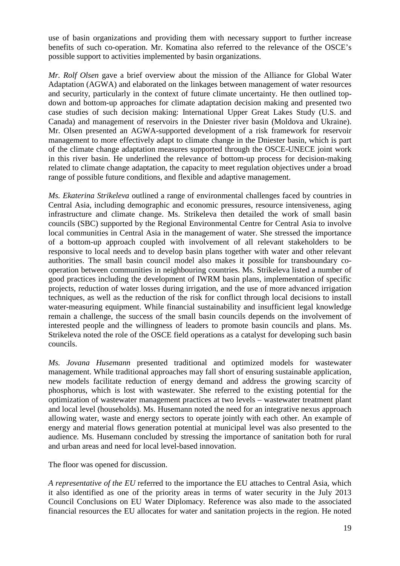use of basin organizations and providing them with necessary support to further increase benefits of such co-operation. Mr. Komatina also referred to the relevance of the OSCE's possible support to activities implemented by basin organizations.

*Mr. Rolf Olsen* gave a brief overview about the mission of the Alliance for Global Water Adaptation (AGWA) and elaborated on the linkages between management of water resources and security, particularly in the context of future climate uncertainty. He then outlined topdown and bottom-up approaches for climate adaptation decision making and presented two case studies of such decision making: International Upper Great Lakes Study (U.S. and Canada) and management of reservoirs in the Dniester river basin (Moldova and Ukraine). Mr. Olsen presented an AGWA-supported development of a risk framework for reservoir management to more effectively adapt to climate change in the Dniester basin, which is part of the climate change adaptation measures supported through the OSCE-UNECE joint work in this river basin. He underlined the relevance of bottom-up process for decision-making related to climate change adaptation, the capacity to meet regulation objectives under a broad range of possible future conditions, and flexible and adaptive management.

*Ms. Ekaterina Strikeleva* outlined a range of environmental challenges faced by countries in Central Asia, including demographic and economic pressures, resource intensiveness, aging infrastructure and climate change. Ms. Strikeleva then detailed the work of small basin councils (SBC) supported by the Regional Environmental Centre for Central Asia to involve local communities in Central Asia in the management of water. She stressed the importance of a bottom-up approach coupled with involvement of all relevant stakeholders to be responsive to local needs and to develop basin plans together with water and other relevant authorities. The small basin council model also makes it possible for transboundary cooperation between communities in neighbouring countries. Ms. Strikeleva listed a number of good practices including the development of IWRM basin plans, implementation of specific projects, reduction of water losses during irrigation, and the use of more advanced irrigation techniques, as well as the reduction of the risk for conflict through local decisions to install water-measuring equipment. While financial sustainability and insufficient legal knowledge remain a challenge, the success of the small basin councils depends on the involvement of interested people and the willingness of leaders to promote basin councils and plans. Ms. Strikeleva noted the role of the OSCE field operations as a catalyst for developing such basin councils.

*Ms. Jovana Husemann* presented traditional and optimized models for wastewater management. While traditional approaches may fall short of ensuring sustainable application, new models facilitate reduction of energy demand and address the growing scarcity of phosphorus, which is lost with wastewater. She referred to the existing potential for the optimization of wastewater management practices at two levels – wastewater treatment plant and local level (households). Ms. Husemann noted the need for an integrative nexus approach allowing water, waste and energy sectors to operate jointly with each other. An example of energy and material flows generation potential at municipal level was also presented to the audience. Ms. Husemann concluded by stressing the importance of sanitation both for rural and urban areas and need for local level-based innovation.

The floor was opened for discussion.

*A representative of the EU* referred to the importance the EU attaches to Central Asia, which it also identified as one of the priority areas in terms of water security in the July 2013 Council Conclusions on EU Water Diplomacy. Reference was also made to the associated financial resources the EU allocates for water and sanitation projects in the region. He noted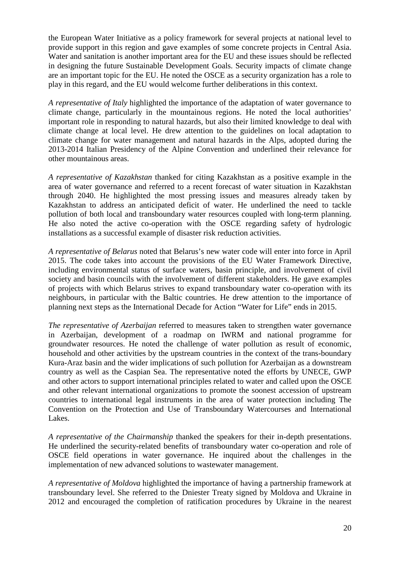the European Water Initiative as a policy framework for several projects at national level to provide support in this region and gave examples of some concrete projects in Central Asia. Water and sanitation is another important area for the EU and these issues should be reflected in designing the future Sustainable Development Goals. Security impacts of climate change are an important topic for the EU. He noted the OSCE as a security organization has a role to play in this regard, and the EU would welcome further deliberations in this context.

*A representative of Italy* highlighted the importance of the adaptation of water governance to climate change, particularly in the mountainous regions. He noted the local authorities' important role in responding to natural hazards, but also their limited knowledge to deal with climate change at local level. He drew attention to the guidelines on local adaptation to climate change for water management and natural hazards in the Alps, adopted during the 2013-2014 Italian Presidency of the Alpine Convention and underlined their relevance for other mountainous areas.

*A representative of Kazakhstan* thanked for citing Kazakhstan as a positive example in the area of water governance and referred to a recent forecast of water situation in Kazakhstan through 2040. He highlighted the most pressing issues and measures already taken by Kazakhstan to address an anticipated deficit of water. He underlined the need to tackle pollution of both local and transboundary water resources coupled with long-term planning. He also noted the active co-operation with the OSCE regarding safety of hydrologic installations as a successful example of disaster risk reduction activities.

*A representative of Belarus* noted that Belarus's new water code will enter into force in April 2015. The code takes into account the provisions of the EU Water Framework Directive, including environmental status of surface waters, basin principle, and involvement of civil society and basin councils with the involvement of different stakeholders. He gave examples of projects with which Belarus strives to expand transboundary water co-operation with its neighbours, in particular with the Baltic countries. He drew attention to the importance of planning next steps as the International Decade for Action "Water for Life" ends in 2015.

*The representative of Azerbaijan* referred to measures taken to strengthen water governance in Azerbaijan, development of a roadmap on IWRM and national programme for groundwater resources. He noted the challenge of water pollution as result of economic, household and other activities by the upstream countries in the context of the trans-boundary Kura-Araz basin and the wider implications of such pollution for Azerbaijan as a downstream country as well as the Caspian Sea. The representative noted the efforts by UNECE, GWP and other actors to support international principles related to water and called upon the OSCE and other relevant international organizations to promote the soonest accession of upstream countries to international legal instruments in the area of water protection including The Convention on the Protection and Use of Transboundary Watercourses and International Lakes.

*A representative of the Chairmanship* thanked the speakers for their in-depth presentations. He underlined the security-related benefits of transboundary water co-operation and role of OSCE field operations in water governance. He inquired about the challenges in the implementation of new advanced solutions to wastewater management.

*A representative of Moldova* highlighted the importance of having a partnership framework at transboundary level. She referred to the Dniester Treaty signed by Moldova and Ukraine in 2012 and encouraged the completion of ratification procedures by Ukraine in the nearest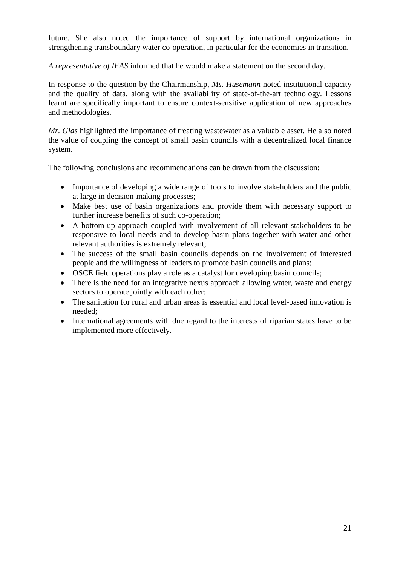future. She also noted the importance of support by international organizations in strengthening transboundary water co-operation, in particular for the economies in transition.

*A representative of IFAS* informed that he would make a statement on the second day.

In response to the question by the Chairmanship, *Ms. Husemann* noted institutional capacity and the quality of data, along with the availability of state-of-the-art technology. Lessons learnt are specifically important to ensure context-sensitive application of new approaches and methodologies.

*Mr. Glas* highlighted the importance of treating wastewater as a valuable asset. He also noted the value of coupling the concept of small basin councils with a decentralized local finance system.

The following conclusions and recommendations can be drawn from the discussion:

- Importance of developing a wide range of tools to involve stakeholders and the public at large in decision-making processes;
- Make best use of basin organizations and provide them with necessary support to further increase benefits of such co-operation;
- A bottom-up approach coupled with involvement of all relevant stakeholders to be responsive to local needs and to develop basin plans together with water and other relevant authorities is extremely relevant;
- The success of the small basin councils depends on the involvement of interested people and the willingness of leaders to promote basin councils and plans;
- OSCE field operations play a role as a catalyst for developing basin councils;
- There is the need for an integrative nexus approach allowing water, waste and energy sectors to operate jointly with each other;
- The sanitation for rural and urban areas is essential and local level-based innovation is needed;
- International agreements with due regard to the interests of riparian states have to be implemented more effectively.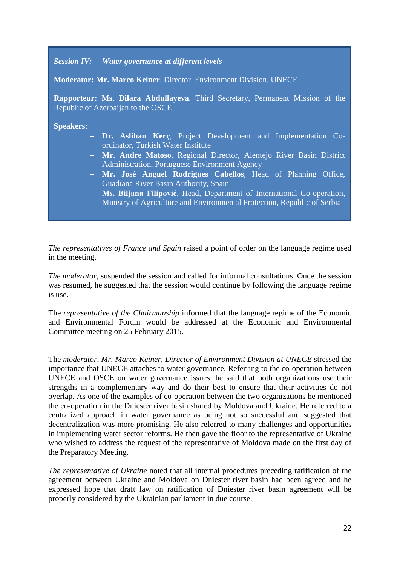*Session IV: Water governance at different levels*

**Moderator: Mr. Marco Keiner**, Director, Environment Division, UNECE

**Rapporteur: Ms. Dilara Abdullayeva**, Third Secretary, Permanent Mission of the Republic of Azerbaijan to the OSCE

**Speakers:** 

- − **Dr. Aslihan Kerç**, Project Development and Implementation Coordinator, Turkish Water Institute
- − **Mr. Andre Matoso**, Regional Director, Alentejo River Basin District Administration, Portuguese Environment Agency
- − **Mr. José Anguel Rodrigues Cabellos**, Head of Planning Office, Guadiana River Basin Authority, Spain
- − **Ms. Biljana Filipović**, Head, Department of International Co-operation, Ministry of Agriculture and Environmental Protection, Republic of Serbia

*The representatives of France and Spain* raised a point of order on the language regime used in the meeting.

*The moderator*, suspended the session and called for informal consultations. Once the session was resumed, he suggested that the session would continue by following the language regime is use.

The *representative of the Chairmanship* informed that the language regime of the Economic and Environmental Forum would be addressed at the Economic and Environmental Committee meeting on 25 February 2015.

The *moderator, Mr. Marco Keiner, Director of Environment Division at UNECE* stressed the importance that UNECE attaches to water governance. Referring to the co-operation between UNECE and OSCE on water governance issues, he said that both organizations use their strengths in a complementary way and do their best to ensure that their activities do not overlap. As one of the examples of co-operation between the two organizations he mentioned the co-operation in the Dniester river basin shared by Moldova and Ukraine. He referred to a centralized approach in water governance as being not so successful and suggested that decentralization was more promising. He also referred to many challenges and opportunities in implementing water sector reforms. He then gave the floor to the representative of Ukraine who wished to address the request of the representative of Moldova made on the first day of the Preparatory Meeting.

*The representative of Ukraine* noted that all internal procedures preceding ratification of the agreement between Ukraine and Moldova on Dniester river basin had been agreed and he expressed hope that draft law on ratification of Dniester river basin agreement will be properly considered by the Ukrainian parliament in due course.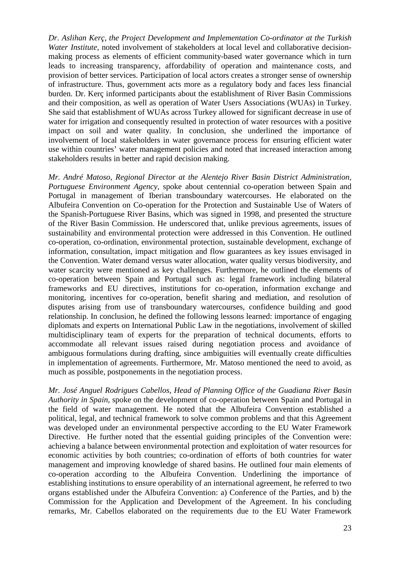*Dr. Aslihan Kerç, the Project Development and Implementation Co-ordinator at the Turkish Water Institute,* noted involvement of stakeholders at local level and collaborative decisionmaking process as elements of efficient community-based water governance which in turn leads to increasing transparency, affordability of operation and maintenance costs, and provision of better services. Participation of local actors creates a stronger sense of ownership of infrastructure. Thus, government acts more as a regulatory body and faces less financial burden. Dr. Kerç informed participants about the establishment of River Basin Commissions and their composition, as well as operation of Water Users Associations (WUAs) in Turkey. She said that establishment of WUAs across Turkey allowed for significant decrease in use of water for irrigation and consequently resulted in protection of water resources with a positive impact on soil and water quality. In conclusion, she underlined the importance of involvement of local stakeholders in water governance process for ensuring efficient water use within countries' water management policies and noted that increased interaction among stakeholders results in better and rapid decision making.

*Mr. André Matoso, Regional Director at the Alentejo River Basin District Administration, Portuguese Environment Agency,* spoke about centennial co-operation between Spain and Portugal in management of Iberian transboundary watercourses. He elaborated on the Albufeira Convention on Co-operation for the Protection and Sustainable Use of Waters of the Spanish-Portuguese River Basins, which was signed in 1998, and presented the structure of the River Basin Commission. He underscored that, unlike previous agreements, issues of sustainability and environmental protection were addressed in this Convention. He outlined co-operation, co-ordination, environmental protection, sustainable development, exchange of information, consultation, impact mitigation and flow guarantees as key issues envisaged in the Convention. Water demand versus water allocation, water quality versus biodiversity, and water scarcity were mentioned as key challenges. Furthermore, he outlined the elements of co-operation between Spain and Portugal such as: legal framework including bilateral frameworks and EU directives, institutions for co-operation, information exchange and monitoring, incentives for co-operation, benefit sharing and mediation, and resolution of disputes arising from use of transboundary watercourses, confidence building and good relationship. In conclusion, he defined the following lessons learned: importance of engaging diplomats and experts on International Public Law in the negotiations, involvement of skilled multidisciplinary team of experts for the preparation of technical documents, efforts to accommodate all relevant issues raised during negotiation process and avoidance of ambiguous formulations during drafting, since ambiguities will eventually create difficulties in implementation of agreements. Furthermore, Mr. Matoso mentioned the need to avoid, as much as possible, postponements in the negotiation process.

*Mr. José Anguel Rodrigues Cabellos, Head of Planning Office of the Guadiana River Basin Authority in Spain*, spoke on the development of co-operation between Spain and Portugal in the field of water management. He noted that the Albufeira Convention established a political, legal, and technical framework to solve common problems and that this Agreement was developed under an environmental perspective according to the EU Water Framework Directive. He further noted that the essential guiding principles of the Convention were: achieving a balance between environmental protection and exploitation of water resources for economic activities by both countries; co-ordination of efforts of both countries for water management and improving knowledge of shared basins. He outlined four main elements of co-operation according to the Albufeira Convention. Underlining the importance of establishing institutions to ensure operability of an international agreement, he referred to two organs established under the Albufeira Convention: a) Conference of the Parties, and b) the Commission for the Application and Development of the Agreement. In his concluding remarks, Mr. Cabellos elaborated on the requirements due to the EU Water Framework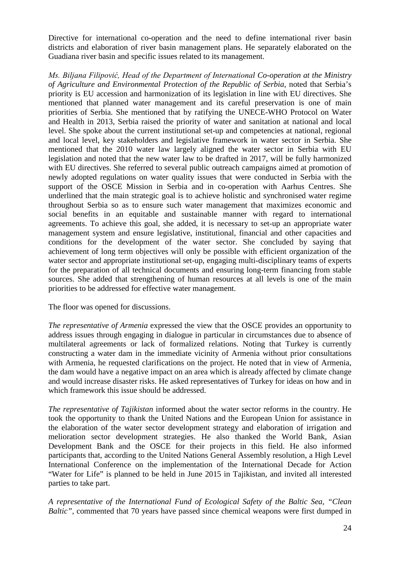Directive for international co-operation and the need to define international river basin districts and elaboration of river basin management plans. He separately elaborated on the Guadiana river basin and specific issues related to its management.

*Ms. Biljana Filipović, Head of the Department of International Co-operation at the Ministry of Agriculture and Environmental Protection of the Republic of Serbia,* noted that Serbia's priority is EU accession and harmonization of its legislation in line with EU directives. She mentioned that planned water management and its careful preservation is one of main priorities of Serbia. She mentioned that by ratifying the UNECE-WHO Protocol on Water and Health in 2013, Serbia raised the priority of water and sanitation at national and local level. She spoke about the current institutional set-up and competencies at national, regional and local level, key stakeholders and legislative framework in water sector in Serbia. She mentioned that the 2010 water law largely aligned the water sector in Serbia with EU legislation and noted that the new water law to be drafted in 2017, will be fully harmonized with EU directives. She referred to several public outreach campaigns aimed at promotion of newly adopted regulations on water quality issues that were conducted in Serbia with the support of the OSCE Mission in Serbia and in co-operation with Aarhus Centres. She underlined that the main strategic goal is to achieve holistic and synchronised water regime throughout Serbia so as to ensure such water management that maximizes economic and social benefits in an equitable and sustainable manner with regard to international agreements. To achieve this goal, she added, it is necessary to set-up an appropriate water management system and ensure legislative, institutional, financial and other capacities and conditions for the development of the water sector. She concluded by saying that achievement of long term objectives will only be possible with efficient organization of the water sector and appropriate institutional set-up, engaging multi-disciplinary teams of experts for the preparation of all technical documents and ensuring long-term financing from stable sources. She added that strengthening of human resources at all levels is one of the main priorities to be addressed for effective water management.

The floor was opened for discussions.

*The representative of Armenia* expressed the view that the OSCE provides an opportunity to address issues through engaging in dialogue in particular in circumstances due to absence of multilateral agreements or lack of formalized relations. Noting that Turkey is currently constructing a water dam in the immediate vicinity of Armenia without prior consultations with Armenia, he requested clarifications on the project. He noted that in view of Armenia, the dam would have a negative impact on an area which is already affected by climate change and would increase disaster risks. He asked representatives of Turkey for ideas on how and in which framework this issue should be addressed.

*The representative of Tajikistan* informed about the water sector reforms in the country. He took the opportunity to thank the United Nations and the European Union for assistance in the elaboration of the water sector development strategy and elaboration of irrigation and melioration sector development strategies. He also thanked the World Bank, Asian Development Bank and the OSCE for their projects in this field. He also informed participants that, according to the United Nations General Assembly resolution, a High Level International Conference on the implementation of the International Decade for Action "Water for Life" is planned to be held in June 2015 in Tajikistan, and invited all interested parties to take part.

*A representative of the International Fund of Ecological Safety of the Baltic Sea, "Clean Baltic",* commented that 70 years have passed since chemical weapons were first dumped in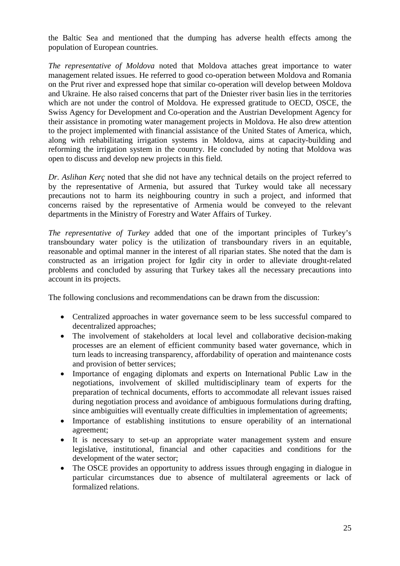the Baltic Sea and mentioned that the dumping has adverse health effects among the population of European countries.

*The representative of Moldova* noted that Moldova attaches great importance to water management related issues. He referred to good co-operation between Moldova and Romania on the Prut river and expressed hope that similar co-operation will develop between Moldova and Ukraine. He also raised concerns that part of the Dniester river basin lies in the territories which are not under the control of Moldova. He expressed gratitude to OECD, OSCE, the Swiss Agency for Development and Co-operation and the Austrian Development Agency for their assistance in promoting water management projects in Moldova. He also drew attention to the project implemented with financial assistance of the United States of America, which, along with rehabilitating irrigation systems in Moldova, aims at capacity-building and reforming the irrigation system in the country. He concluded by noting that Moldova was open to discuss and develop new projects in this field.

*Dr. Aslihan Kerç* noted that she did not have any technical details on the project referred to by the representative of Armenia, but assured that Turkey would take all necessary precautions not to harm its neighbouring country in such a project, and informed that concerns raised by the representative of Armenia would be conveyed to the relevant departments in the Ministry of Forestry and Water Affairs of Turkey.

*The representative of Turkey* added that one of the important principles of Turkey's transboundary water policy is the utilization of transboundary rivers in an equitable, reasonable and optimal manner in the interest of all riparian states. She noted that the dam is constructed as an irrigation project for Igdir city in order to alleviate drought-related problems and concluded by assuring that Turkey takes all the necessary precautions into account in its projects.

The following conclusions and recommendations can be drawn from the discussion:

- Centralized approaches in water governance seem to be less successful compared to decentralized approaches;
- The involvement of stakeholders at local level and collaborative decision-making processes are an element of efficient community based water governance, which in turn leads to increasing transparency, affordability of operation and maintenance costs and provision of better services;
- Importance of engaging diplomats and experts on International Public Law in the negotiations, involvement of skilled multidisciplinary team of experts for the preparation of technical documents, efforts to accommodate all relevant issues raised during negotiation process and avoidance of ambiguous formulations during drafting, since ambiguities will eventually create difficulties in implementation of agreements;
- Importance of establishing institutions to ensure operability of an international agreement;
- It is necessary to set-up an appropriate water management system and ensure legislative, institutional, financial and other capacities and conditions for the development of the water sector;
- The OSCE provides an opportunity to address issues through engaging in dialogue in particular circumstances due to absence of multilateral agreements or lack of formalized relations.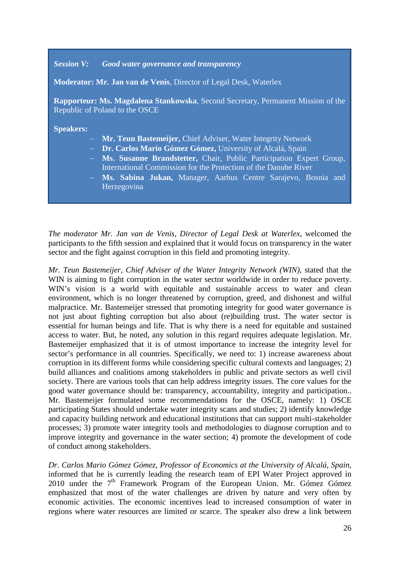#### *Session V: Good water governance and transparency*

**Moderator: Mr. Jan van de Venis**, Director of Legal Desk, Waterlex

**Rapporteur: Ms. Magdalena Stankowska**, Second Secretary, Permanent Mission of the Republic of Poland to the OSCE

#### **Speakers:**

- − **Mr. Teun Bastemeijer,** Chief Adviser, Water Integrity Network
- − **Dr. Carlos Mario Gómez Gómez,** University of Alcalá, Spain
- − **Ms. Susanne Brandstetter,** Chair, Public Participation Expert Group, International Commission for the Protection of the Danube River
- − **Ms. Sabina Jukan,** Manager, Aarhus Centre Sarajevo, Bosnia and Herzegovina

*The moderator Mr. Jan van de Venis, Director of Legal Desk at Waterlex*, welcomed the participants to the fifth session and explained that it would focus on transparency in the water sector and the fight against corruption in this field and promoting integrity.

*Mr. Teun Bastemeijer, Chief Adviser of the Water Integrity Network (WIN),* stated that the WIN is aiming to fight corruption in the water sector worldwide in order to reduce poverty. WIN's vision is a world with equitable and sustainable access to water and clean environment, which is no longer threatened by corruption, greed, and dishonest and wilful malpractice. Mr. Bastemeijer stressed that promoting integrity for good water governance is not just about fighting corruption but also about (re)building trust. The water sector is essential for human beings and life. That is why there is a need for equitable and sustained access to water. But, he noted, any solution in this regard requires adequate legislation. Mr. Bastemeijer emphasized that it is of utmost importance to increase the integrity level for sector's performance in all countries. Specifically, we need to: 1) increase awareness about corruption in its different forms while considering specific cultural contexts and languages; 2) build alliances and coalitions among stakeholders in public and private sectors as well civil society. There are various tools that can help address integrity issues. The core values for the good water governance should be: transparency, accountability, integrity and participation.. Mr. Bastemeijer formulated some recommendations for the OSCE, namely: 1) OSCE participating States should undertake water integrity scans and studies; 2) identify knowledge and capacity building network and educational institutions that can support multi-stakeholder processes; 3) promote water integrity tools and methodologies to diagnose corruption and to improve integrity and governance in the water section; 4) promote the development of code of conduct among stakeholders.

*Dr. Carlos Mario Gómez Gómez, Professor of Economics at the University of Alcalá, Spain*, informed that he is currently leading the research team of EPI Water Project approved in  $2010$  under the  $7<sup>th</sup>$  Framework Program of the European Union. Mr. Gómez Gómez emphasized that most of the water challenges are driven by nature and very often by economic activities. The economic incentives lead to increased consumption of water in regions where water resources are limited or scarce. The speaker also drew a link between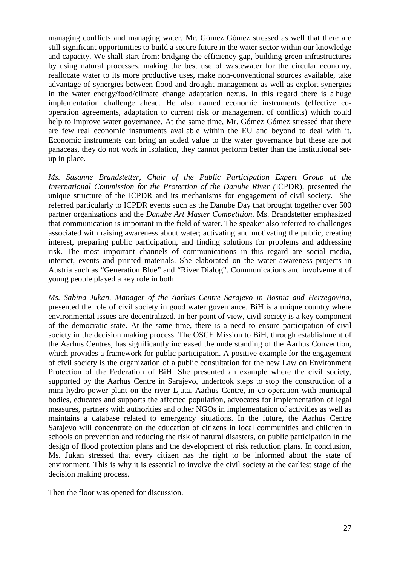managing conflicts and managing water. Mr. Gómez Gómez stressed as well that there are still significant opportunities to build a secure future in the water sector within our knowledge and capacity. We shall start from: bridging the efficiency gap, building green infrastructures by using natural processes, making the best use of wastewater for the circular economy, reallocate water to its more productive uses, make non-conventional sources available, take advantage of synergies between flood and drought management as well as exploit synergies in the water energy/food/climate change adaptation nexus. In this regard there is a huge implementation challenge ahead. He also named economic instruments (effective cooperation agreements, adaptation to current risk or management of conflicts) which could help to improve water governance. At the same time, Mr. Gómez Gómez stressed that there are few real economic instruments available within the EU and beyond to deal with it. Economic instruments can bring an added value to the water governance but these are not panaceas, they do not work in isolation, they cannot perform better than the institutional setup in place.

*Ms. Susanne Brandstetter, Chair of the Public Participation Expert Group at the International Commission for the Protection of the Danube River (*ICPDR)*,* presented the unique structure of the ICPDR and its mechanisms for engagement of civil society. She referred particularly to ICPDR events such as the Danube Day that brought together over 500 partner organizations and the *Danube Art Master Competition*. Ms. Brandstetter emphasized that communication is important in the field of water. The speaker also referred to challenges associated with raising awareness about water; activating and motivating the public, creating interest, preparing public participation, and finding solutions for problems and addressing risk. The most important channels of communications in this regard are social media, internet, events and printed materials. She elaborated on the water awareness projects in Austria such as "Generation Blue" and "River Dialog". Communications and involvement of young people played a key role in both.

*Ms. Sabina Jukan, Manager of the Aarhus Centre Sarajevo in Bosnia and Herzegovina*, presented the role of civil society in good water governance. BiH is a unique country where environmental issues are decentralized. In her point of view, civil society is a key component of the democratic state. At the same time, there is a need to ensure participation of civil society in the decision making process. The OSCE Mission to BiH, through establishment of the Aarhus Centres, has significantly increased the understanding of the Aarhus Convention, which provides a framework for public participation. A positive example for the engagement of civil society is the organization of a public consultation for the new Law on Environment Protection of the Federation of BiH. She presented an example where the civil society, supported by the Aarhus Centre in Sarajevo, undertook steps to stop the construction of a mini hydro-power plant on the river Ljuta. Aarhus Centre, in co-operation with municipal bodies, educates and supports the affected population, advocates for implementation of legal measures, partners with authorities and other NGOs in implementation of activities as well as maintains a database related to emergency situations. In the future, the Aarhus Centre Sarajevo will concentrate on the education of citizens in local communities and children in schools on prevention and reducing the risk of natural disasters, on public participation in the design of flood protection plans and the development of risk reduction plans. In conclusion, Ms. Jukan stressed that every citizen has the right to be informed about the state of environment. This is why it is essential to involve the civil society at the earliest stage of the decision making process.

Then the floor was opened for discussion.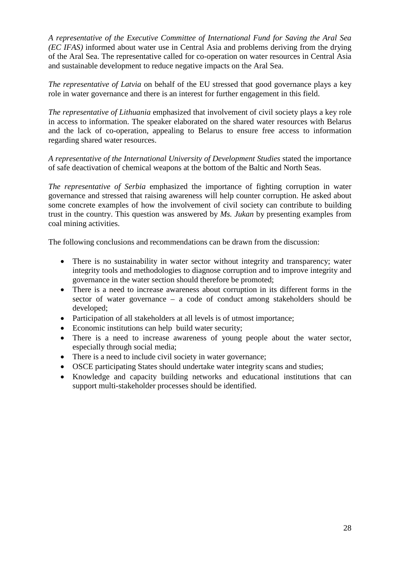*A representative of the Executive Committee of International Fund for Saving the Aral Sea (EC IFAS)* informed about water use in Central Asia and problems deriving from the drying of the Aral Sea. The representative called for co-operation on water resources in Central Asia and sustainable development to reduce negative impacts on the Aral Sea.

*The representative of Latvia* on behalf of the EU stressed that good governance plays a key role in water governance and there is an interest for further engagement in this field.

*The representative of Lithuania* emphasized that involvement of civil society plays a key role in access to information. The speaker elaborated on the shared water resources with Belarus and the lack of co-operation, appealing to Belarus to ensure free access to information regarding shared water resources.

*A representative of the International University of Development Studies* stated the importance of safe deactivation of chemical weapons at the bottom of the Baltic and North Seas.

*The representative of Serbia* emphasized the importance of fighting corruption in water governance and stressed that raising awareness will help counter corruption. He asked about some concrete examples of how the involvement of civil society can contribute to building trust in the country. This question was answered by *Ms. Jukan* by presenting examples from coal mining activities.

The following conclusions and recommendations can be drawn from the discussion:

- There is no sustainability in water sector without integrity and transparency; water integrity tools and methodologies to diagnose corruption and to improve integrity and governance in the water section should therefore be promoted;
- There is a need to increase awareness about corruption in its different forms in the sector of water governance – a code of conduct among stakeholders should be developed;
- Participation of all stakeholders at all levels is of utmost importance;
- Economic institutions can help build water security;
- There is a need to increase awareness of young people about the water sector, especially through social media;
- There is a need to include civil society in water governance:
- OSCE participating States should undertake water integrity scans and studies;
- Knowledge and capacity building networks and educational institutions that can support multi-stakeholder processes should be identified.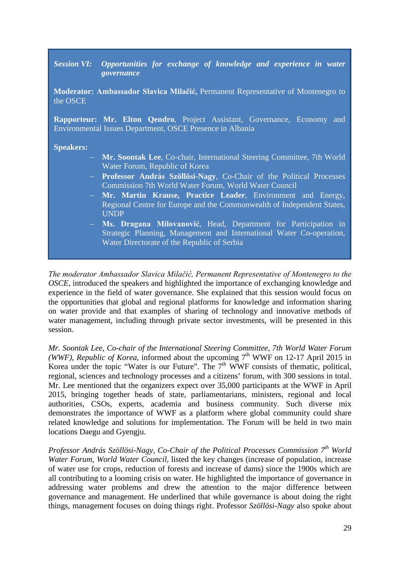#### *Session VI: Opportunities for exchange of knowledge and experience in water governance*

**Moderator: Ambassador Slavica Milačić,** Permanent Representative of Montenegro to the OSCE

**Rapporteur: Mr. Elton Qendro**, Project Assistant, Governance, Economy and Environmental Issues Department, OSCE Presence in Albania

**Speakers:** 

- − **Mr. Soontak Lee**, Co-chair, International Steering Committee, 7th World Water Forum, Republic of Korea
- − **Professor András Szöllösi-Nagy**, Co-Chair of the Political Processes Commission 7th World Water Forum, World Water Council
- − **Mr. Martin Krause, Practice Leader**, Environment and Energy, Regional Centre for Europe and the Commonwealth of Independent States, UNDP
- − **Ms. Dragana Milovanović**, Head, Department for Participation in Strategic Planning, Management and International Water Co-operation, Water Directorate of the Republic of Serbia

*The moderator Ambassador Slavica Milačić, Permanent Representative of Montenegro to the OSCE*, introduced the speakers and highlighted the importance of exchanging knowledge and experience in the field of water governance. She explained that this session would focus on the opportunities that global and regional platforms for knowledge and information sharing on water provide and that examples of sharing of technology and innovative methods of water management, including through private sector investments, will be presented in this session.

*Mr. Soontak Lee, Co-chair of the International Steering Committee, 7th World Water Forum (WWF), Republic of Korea,* informed about the upcoming  $7<sup>th</sup>$  WWF on 12-17 April 2015 in Korea under the topic "Water is our Future". The 7<sup>th</sup> WWF consists of thematic, political, regional, sciences and technology processes and a citizens' forum, with 300 sessions in total. Mr. Lee mentioned that the organizers expect over 35,000 participants at the WWF in April 2015, bringing together heads of state, parliamentarians, ministers, regional and local authorities, CSOs, experts, academia and business community. Such diverse mix demonstrates the importance of WWF as a platform where global community could share related knowledge and solutions for implementation. The Forum will be held in two main locations Daegu and Gyengju.

*Professor András Szöllösi-Nagy, Co-Chair of the Political Processes Commission 7th World Water Forum, World Water Council*, listed the key changes (increase of population, increase of water use for crops, reduction of forests and increase of dams) since the 1900s which are all contributing to a looming crisis on water. He highlighted the importance of governance in addressing water problems and drew the attention to the major difference between governance and management. He underlined that while governance is about doing the right things, management focuses on doing things right. Professor *Szöllösi-Nagy* also spoke about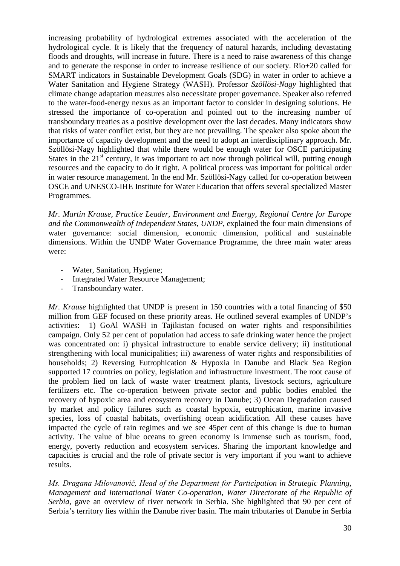increasing probability of hydrological extremes associated with the acceleration of the hydrological cycle. It is likely that the frequency of natural hazards, including devastating floods and droughts, will increase in future. There is a need to raise awareness of this change and to generate the response in order to increase resilience of our society. Rio+20 called for SMART indicators in Sustainable Development Goals (SDG) in water in order to achieve a Water Sanitation and Hygiene Strategy (WASH). Professor *Szöllösi-Nagy* highlighted that climate change adaptation measures also necessitate proper governance. Speaker also referred to the water-food-energy nexus as an important factor to consider in designing solutions. He stressed the importance of co-operation and pointed out to the increasing number of transboundary treaties as a positive development over the last decades. Many indicators show that risks of water conflict exist, but they are not prevailing. The speaker also spoke about the importance of capacity development and the need to adopt an interdisciplinary approach. Mr. Szöllösi-Nagy highlighted that while there would be enough water for OSCE participating States in the  $21<sup>st</sup>$  century, it was important to act now through political will, putting enough resources and the capacity to do it right. A political process was important for political order in water resource management. In the end Mr. Szöllösi-Nagy called for co-operation between OSCE and UNESCO-IHE Institute for Water Education that offers several specialized Master Programmes.

*Mr. Martin Krause, Practice Leader, Environment and Energy, Regional Centre for Europe and the Commonwealth of Independent States, UNDP*, explained the four main dimensions of water governance: social dimension, economic dimension, political and sustainable dimensions. Within the UNDP Water Governance Programme, the three main water areas were:

- Water, Sanitation, Hygiene;
- Integrated Water Resource Management;
- Transboundary water.

*Mr. Krause* highlighted that UNDP is present in 150 countries with a total financing of \$50 million from GEF focused on these priority areas. He outlined several examples of UNDP's activities: 1) GoAl WASH in Tajikistan focused on water rights and responsibilities campaign. Only 52 per cent of population had access to safe drinking water hence the project was concentrated on: i) physical infrastructure to enable service delivery; ii) institutional strengthening with local municipalities; iii) awareness of water rights and responsibilities of households; 2) Reversing Eutrophication & Hypoxia in Danube and Black Sea Region supported 17 countries on policy, legislation and infrastructure investment. The root cause of the problem lied on lack of waste water treatment plants, livestock sectors, agriculture fertilizers etc. The co-operation between private sector and public bodies enabled the recovery of hypoxic area and ecosystem recovery in Danube; 3) Ocean Degradation caused by market and policy failures such as coastal hypoxia, eutrophication, marine invasive species, loss of coastal habitats, overfishing ocean acidification. All these causes have impacted the cycle of rain regimes and we see 45per cent of this change is due to human activity. The value of blue oceans to green economy is immense such as tourism, food, energy, poverty reduction and ecosystem services. Sharing the important knowledge and capacities is crucial and the role of private sector is very important if you want to achieve results.

*Ms. Dragana Milovanović, Head of the Department for Participation in Strategic Planning, Management and International Water Co-operation, Water Directorate of the Republic of Serbia,* gave an overview of river network in Serbia. She highlighted that 90 per cent of Serbia's territory lies within the Danube river basin. The main tributaries of Danube in Serbia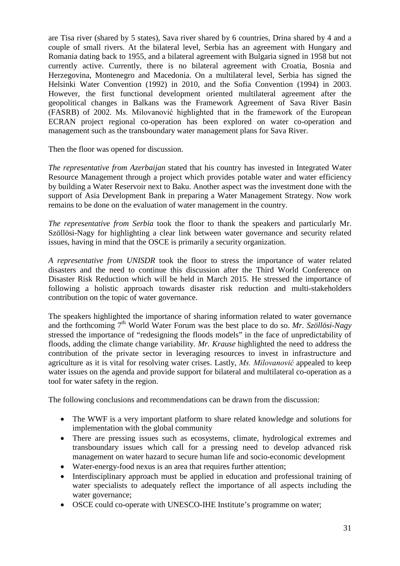are Tisa river (shared by 5 states), Sava river shared by 6 countries, Drina shared by 4 and a couple of small rivers. At the bilateral level, Serbia has an agreement with Hungary and Romania dating back to 1955, and a bilateral agreement with Bulgaria signed in 1958 but not currently active. Currently, there is no bilateral agreement with Croatia, Bosnia and Herzegovina, Montenegro and Macedonia. On a multilateral level, Serbia has signed the Helsinki Water Convention (1992) in 2010, and the Sofia Convention (1994) in 2003. However, the first functional development oriented multilateral agreement after the geopolitical changes in Balkans was the Framework Agreement of Sava River Basin (FASRB) of 2002. Ms. Milovanović highlighted that in the framework of the European ECRAN project regional co-operation has been explored on water co-operation and management such as the transboundary water management plans for Sava River.

Then the floor was opened for discussion.

*The representative from Azerbaijan* stated that his country has invested in Integrated Water Resource Management through a project which provides potable water and water efficiency by building a Water Reservoir next to Baku. Another aspect was the investment done with the support of Asia Development Bank in preparing a Water Management Strategy. Now work remains to be done on the evaluation of water management in the country.

*The representative from Serbia* took the floor to thank the speakers and particularly Mr. Szöllösi-Nagy for highlighting a clear link between water governance and security related issues, having in mind that the OSCE is primarily a security organization.

*A representative from UNISDR* took the floor to stress the importance of water related disasters and the need to continue this discussion after the Third World Conference on Disaster Risk Reduction which will be held in March 2015. He stressed the importance of following a holistic approach towards disaster risk reduction and multi-stakeholders contribution on the topic of water governance.

The speakers highlighted the importance of sharing information related to water governance and the forthcoming 7<sup>th</sup> World Water Forum was the best place to do so. *Mr. Szöllösi-Nagy* stressed the importance of "redesigning the floods models" in the face of unpredictability of floods, adding the climate change variability. *Mr. Krause* highlighted the need to address the contribution of the private sector in leveraging resources to invest in infrastructure and agriculture as it is vital for resolving water crises. Lastly, *Ms. Milovanović* appealed to keep water issues on the agenda and provide support for bilateral and multilateral co-operation as a tool for water safety in the region.

The following conclusions and recommendations can be drawn from the discussion:

- The WWF is a very important platform to share related knowledge and solutions for implementation with the global community
- There are pressing issues such as ecosystems, climate, hydrological extremes and transboundary issues which call for a pressing need to develop advanced risk management on water hazard to secure human life and socio-economic development
- Water-energy-food nexus is an area that requires further attention;
- Interdisciplinary approach must be applied in education and professional training of water specialists to adequately reflect the importance of all aspects including the water governance;
- OSCE could co-operate with UNESCO-IHE Institute's programme on water;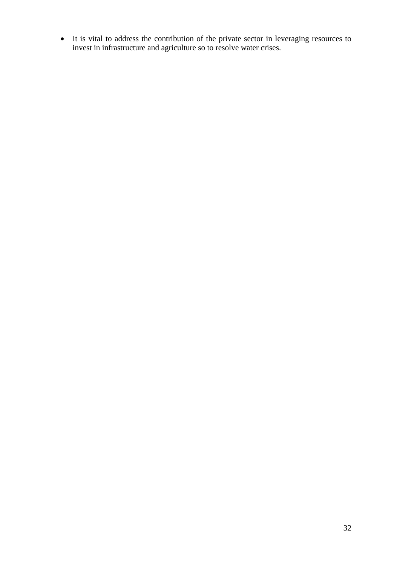• It is vital to address the contribution of the private sector in leveraging resources to invest in infrastructure and agriculture so to resolve water crises.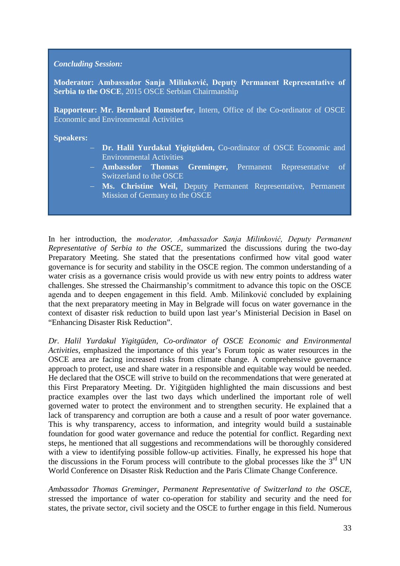#### *Concluding Session:*

**Moderator: Ambassador Sanja Milinković, Deputy Permanent Representative of Serbia to the OSCE**, 2015 OSCE Serbian Chairmanship

**Rapporteur: Mr. Bernhard Romstorfer**, Intern, Office of the Co-ordinator of OSCE Economic and Environmental Activities

#### **Speakers:**

- − **Dr. Halil Yurdakul Yigitgüden,** Co-ordinator of OSCE Economic and Environmental Activities
- − **Ambassdor Thomas Greminger,** Permanent Representative of Switzerland to the OSCE
- − **Ms. Christine Weil,** Deputy Permanent Representative, Permanent Mission of Germany to the OSCE

In her introduction, the *moderator, Ambassador Sanja Milinković, Deputy Permanent Representative of Serbia to the OSCE,* summarized the discussions during the two-day Preparatory Meeting. She stated that the presentations confirmed how vital good water governance is for security and stability in the OSCE region. The common understanding of a water crisis as a governance crisis would provide us with new entry points to address water challenges. She stressed the Chairmanship's commitment to advance this topic on the OSCE agenda and to deepen engagement in this field. Amb. Milinković concluded by explaining that the next preparatory meeting in May in Belgrade will focus on water governance in the context of disaster risk reduction to build upon last year's Ministerial Decision in Basel on "Enhancing Disaster Risk Reduction".

*Dr. Halil Yurdakul Yigitgüden, Co-ordinator of OSCE Economic and Environmental Activities,* emphasized the importance of this year's Forum topic as water resources in the OSCE area are facing increased risks from climate change. A comprehensive governance approach to protect, use and share water in a responsible and equitable way would be needed. He declared that the OSCE will strive to build on the recommendations that were generated at this First Preparatory Meeting. Dr. Yiğitgüden highlighted the main discussions and best practice examples over the last two days which underlined the important role of well governed water to protect the environment and to strengthen security. He explained that a lack of transparency and corruption are both a cause and a result of poor water governance. This is why transparency, access to information, and integrity would build a sustainable foundation for good water governance and reduce the potential for conflict. Regarding next steps, he mentioned that all suggestions and recommendations will be thoroughly considered with a view to identifying possible follow-up activities. Finally, he expressed his hope that the discussions in the Forum process will contribute to the global processes like the  $3<sup>rd</sup>$  UN World Conference on Disaster Risk Reduction and the Paris Climate Change Conference.

*Ambassador Thomas Greminger, Permanent Representative of Switzerland to the OSCE,*  stressed the importance of water co-operation for stability and security and the need for states, the private sector, civil society and the OSCE to further engage in this field. Numerous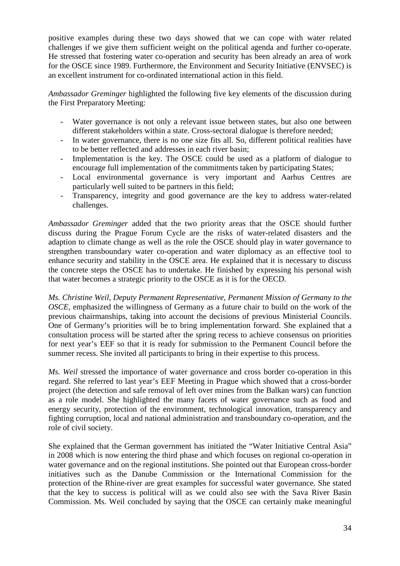positive examples during these two days showed that we can cope with water related challenges if we give them sufficient weight on the political agenda and further co-operate. He stressed that fostering water co-operation and security has been already an area of work for the OSCE since 1989. Furthermore, the Environment and Security Initiative (ENVSEC) is an excellent instrument for co-ordinated international action in this field.

*Ambassador Greminger* highlighted the following five key elements of the discussion during the First Preparatory Meeting:

- Water governance is not only a relevant issue between states, but also one between different stakeholders within a state. Cross-sectoral dialogue is therefore needed;
- In water governance, there is no one size fits all. So, different political realities have to be better reflected and addresses in each river basin;
- Implementation is the key. The OSCE could be used as a platform of dialogue to encourage full implementation of the commitments taken by participating States;
- Local environmental governance is very important and Aarhus Centres are particularly well suited to be partners in this field;
- Transparency, integrity and good governance are the key to address water-related challenges.

*Ambassador Greminger* added that the two priority areas that the OSCE should further discuss during the Prague Forum Cycle are the risks of water-related disasters and the adaption to climate change as well as the role the OSCE should play in water governance to strengthen transboundary water co-operation and water diplomacy as an effective tool to enhance security and stability in the OSCE area. He explained that it is necessary to discuss the concrete steps the OSCE has to undertake. He finished by expressing his personal wish that water becomes a strategic priority to the OSCE as it is for the OECD.

*Ms. Christine Weil, Deputy Permanent Representative, Permanent Mission of Germany to the OSCE,* emphasized the willingness of Germany as a future chair to build on the work of the previous chairmanships, taking into account the decisions of previous Ministerial Councils. One of Germany's priorities will be to bring implementation forward. She explained that a consultation process will be started after the spring recess to achieve consensus on priorities for next year's EEF so that it is ready for submission to the Permanent Council before the summer recess. She invited all participants to bring in their expertise to this process.

*Ms. Weil* stressed the importance of water governance and cross border co-operation in this regard. She referred to last year's EEF Meeting in Prague which showed that a cross-border project (the detection and safe removal of left over mines from the Balkan wars) can function as a role model. She highlighted the many facets of water governance such as food and energy security, protection of the environment, technological innovation, transparency and fighting corruption, local and national administration and transboundary co-operation, and the role of civil society.

She explained that the German government has initiated the "Water Initiative Central Asia" in 2008 which is now entering the third phase and which focuses on regional co-operation in water governance and on the regional institutions. She pointed out that European cross-border initiatives such as the Danube Commission or the International Commission for the protection of the Rhine-river are great examples for successful water governance. She stated that the key to success is political will as we could also see with the Sava River Basin Commission. Ms. Weil concluded by saying that the OSCE can certainly make meaningful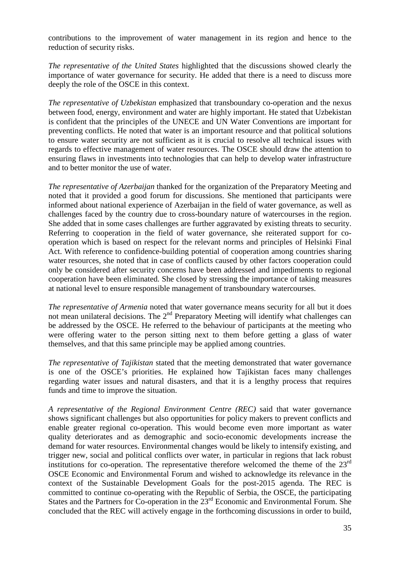contributions to the improvement of water management in its region and hence to the reduction of security risks.

*The representative of the United States* highlighted that the discussions showed clearly the importance of water governance for security. He added that there is a need to discuss more deeply the role of the OSCE in this context.

*The representative of Uzbekistan* emphasized that transboundary co-operation and the nexus between food, energy, environment and water are highly important. He stated that Uzbekistan is confident that the principles of the UNECE and UN Water Conventions are important for preventing conflicts. He noted that water is an important resource and that political solutions to ensure water security are not sufficient as it is crucial to resolve all technical issues with regards to effective management of water resources. The OSCE should draw the attention to ensuring flaws in investments into technologies that can help to develop water infrastructure and to better monitor the use of water.

*The representative of Azerbaijan* thanked for the organization of the Preparatory Meeting and noted that it provided a good forum for discussions. She mentioned that participants were informed about national experience of Azerbaijan in the field of water governance, as well as challenges faced by the country due to cross-boundary nature of watercourses in the region. She added that in some cases challenges are further aggravated by existing threats to security. Referring to cooperation in the field of water governance, she reiterated support for cooperation which is based on respect for the relevant norms and principles of Helsinki Final Act. With reference to confidence-building potential of cooperation among countries sharing water resources, she noted that in case of conflicts caused by other factors cooperation could only be considered after security concerns have been addressed and impediments to regional cooperation have been eliminated. She closed by stressing the importance of taking measures at national level to ensure responsible management of transboundary watercourses.

*The representative of Armenia* noted that water governance means security for all but it does not mean unilateral decisions. The 2<sup>nd</sup> Preparatory Meeting will identify what challenges can be addressed by the OSCE. He referred to the behaviour of participants at the meeting who were offering water to the person sitting next to them before getting a glass of water themselves, and that this same principle may be applied among countries.

*The representative of Tajikistan* stated that the meeting demonstrated that water governance is one of the OSCE's priorities. He explained how Tajikistan faces many challenges regarding water issues and natural disasters, and that it is a lengthy process that requires funds and time to improve the situation.

*A representative of the Regional Environment Centre (REC)* said that water governance shows significant challenges but also opportunities for policy makers to prevent conflicts and enable greater regional co-operation. This would become even more important as water quality deteriorates and as demographic and socio-economic developments increase the demand for water resources. Environmental changes would be likely to intensify existing, and trigger new, social and political conflicts over water, in particular in regions that lack robust institutions for co-operation. The representative therefore welcomed the theme of the  $23<sup>rd</sup>$ OSCE Economic and Environmental Forum and wished to acknowledge its relevance in the context of the Sustainable Development Goals for the post-2015 agenda. The REC is committed to continue co-operating with the Republic of Serbia, the OSCE, the participating States and the Partners for Co-operation in the 23<sup>rd</sup> Economic and Environmental Forum. She concluded that the REC will actively engage in the forthcoming discussions in order to build,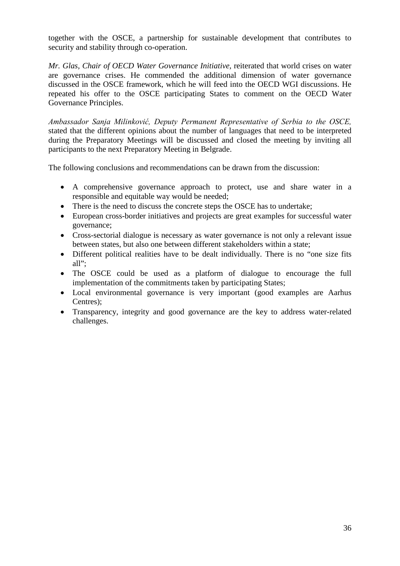together with the OSCE, a partnership for sustainable development that contributes to security and stability through co-operation.

*Mr. Glas, Chair of OECD Water Governance Initiative,* reiterated that world crises on water are governance crises. He commended the additional dimension of water governance discussed in the OSCE framework, which he will feed into the OECD WGI discussions. He repeated his offer to the OSCE participating States to comment on the OECD Water Governance Principles.

*Ambassador Sanja Milinković, Deputy Permanent Representative of Serbia to the OSCE,*  stated that the different opinions about the number of languages that need to be interpreted during the Preparatory Meetings will be discussed and closed the meeting by inviting all participants to the next Preparatory Meeting in Belgrade.

The following conclusions and recommendations can be drawn from the discussion:

- A comprehensive governance approach to protect, use and share water in a responsible and equitable way would be needed;
- There is the need to discuss the concrete steps the OSCE has to undertake;
- European cross-border initiatives and projects are great examples for successful water governance;
- Cross-sectorial dialogue is necessary as water governance is not only a relevant issue between states, but also one between different stakeholders within a state;
- Different political realities have to be dealt individually. There is no "one size fits all";
- The OSCE could be used as a platform of dialogue to encourage the full implementation of the commitments taken by participating States;
- Local environmental governance is very important (good examples are Aarhus Centres);
- Transparency, integrity and good governance are the key to address water-related challenges.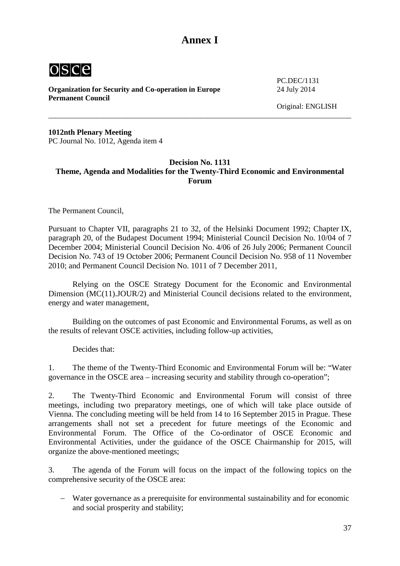## **Annex I**

<span id="page-36-0"></span>

**Organization for Security and Co-operation in Europe** 24 July 2014 **Permanent Council** 

PC.DEC/1131

Original: ENGLISH

**1012nth Plenary Meeting**  PC Journal No. 1012, Agenda item 4

#### <span id="page-36-1"></span>**Decision No. 1131 Theme, Agenda and Modalities for the Twenty-Third Economic and Environmental Forum**

\_\_\_\_\_\_\_\_\_\_\_\_\_\_\_\_\_\_\_\_\_\_\_\_\_\_\_\_\_\_\_\_\_\_\_\_\_\_\_\_\_\_\_\_\_\_\_\_\_\_\_\_\_\_\_\_\_\_\_\_\_\_\_\_\_\_\_\_\_\_\_\_\_\_\_\_\_\_\_\_\_\_

The Permanent Council,

Pursuant to Chapter VII, paragraphs 21 to 32, of the Helsinki Document 1992; Chapter IX, paragraph 20, of the Budapest Document 1994; Ministerial Council Decision No. 10/04 of 7 December 2004; Ministerial Council Decision No. 4/06 of 26 July 2006; Permanent Council Decision No. 743 of 19 October 2006; Permanent Council Decision No. 958 of 11 November 2010; and Permanent Council Decision No. 1011 of 7 December 2011,

Relying on the OSCE Strategy Document for the Economic and Environmental Dimension (MC(11).JOUR/2) and Ministerial Council decisions related to the environment, energy and water management,

Building on the outcomes of past Economic and Environmental Forums, as well as on the results of relevant OSCE activities, including follow-up activities,

Decides that:

1. The theme of the Twenty-Third Economic and Environmental Forum will be: "Water governance in the OSCE area – increasing security and stability through co-operation";

2. The Twenty-Third Economic and Environmental Forum will consist of three meetings, including two preparatory meetings, one of which will take place outside of Vienna. The concluding meeting will be held from 14 to 16 September 2015 in Prague. These arrangements shall not set a precedent for future meetings of the Economic and Environmental Forum. The Office of the Co-ordinator of OSCE Economic and Environmental Activities, under the guidance of the OSCE Chairmanship for 2015, will organize the above-mentioned meetings;

3. The agenda of the Forum will focus on the impact of the following topics on the comprehensive security of the OSCE area:

Water governance as a prerequisite for environmental sustainability and for economic and social prosperity and stability;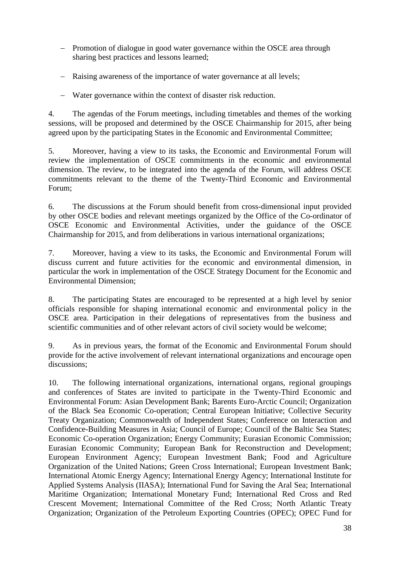- − Promotion of dialogue in good water governance within the OSCE area through sharing best practices and lessons learned;
- − Raising awareness of the importance of water governance at all levels;
- − Water governance within the context of disaster risk reduction.

4. The agendas of the Forum meetings, including timetables and themes of the working sessions, will be proposed and determined by the OSCE Chairmanship for 2015, after being agreed upon by the participating States in the Economic and Environmental Committee;

5. Moreover, having a view to its tasks, the Economic and Environmental Forum will review the implementation of OSCE commitments in the economic and environmental dimension. The review, to be integrated into the agenda of the Forum, will address OSCE commitments relevant to the theme of the Twenty-Third Economic and Environmental Forum;

6. The discussions at the Forum should benefit from cross-dimensional input provided by other OSCE bodies and relevant meetings organized by the Office of the Co-ordinator of OSCE Economic and Environmental Activities, under the guidance of the OSCE Chairmanship for 2015, and from deliberations in various international organizations;

7. Moreover, having a view to its tasks, the Economic and Environmental Forum will discuss current and future activities for the economic and environmental dimension, in particular the work in implementation of the OSCE Strategy Document for the Economic and Environmental Dimension;

8. The participating States are encouraged to be represented at a high level by senior officials responsible for shaping international economic and environmental policy in the OSCE area. Participation in their delegations of representatives from the business and scientific communities and of other relevant actors of civil society would be welcome;

9. As in previous years, the format of the Economic and Environmental Forum should provide for the active involvement of relevant international organizations and encourage open discussions;

10. The following international organizations, international organs, regional groupings and conferences of States are invited to participate in the Twenty-Third Economic and Environmental Forum: Asian Development Bank; Barents Euro-Arctic Council; Organization of the Black Sea Economic Co-operation; Central European Initiative; Collective Security Treaty Organization; Commonwealth of Independent States; Conference on Interaction and Confidence-Building Measures in Asia; Council of Europe; Council of the Baltic Sea States; Economic Co-operation Organization; Energy Community; Eurasian Economic Commission; Eurasian Economic Community; European Bank for Reconstruction and Development; European Environment Agency; European Investment Bank; Food and Agriculture Organization of the United Nations; Green Cross International; European Investment Bank; International Atomic Energy Agency; International Energy Agency; International Institute for Applied Systems Analysis (IIASA); International Fund for Saving the Aral Sea; International Maritime Organization; International Monetary Fund; International Red Cross and Red Crescent Movement; International Committee of the Red Cross; North Atlantic Treaty Organization; Organization of the Petroleum Exporting Countries (OPEC); OPEC Fund for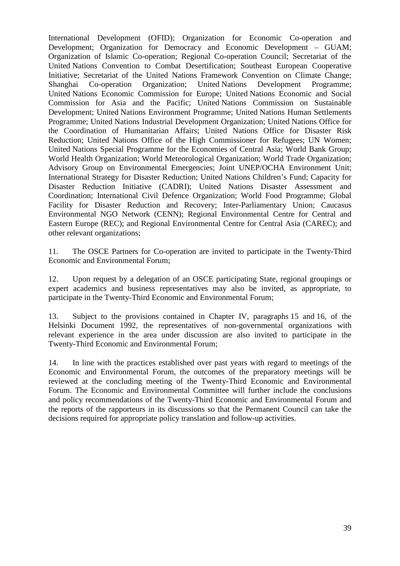International Development (OFID); Organization for Economic Co-operation and Development; Organization for Democracy and Economic Development – GUAM; Organization of Islamic Co-operation; Regional Co-operation Council; Secretariat of the United Nations Convention to Combat Desertification; Southeast European Cooperative Initiative; Secretariat of the United Nations Framework Convention on Climate Change; Shanghai Co-operation Organization; United Nations Development Programme; United Nations Economic Commission for Europe; United Nations Economic and Social Commission for Asia and the Pacific; United Nations Commission on Sustainable Development; United Nations Environment Programme; United Nations Human Settlements Programme; United Nations Industrial Development Organization; United Nations Office for the Coordination of Humanitarian Affairs; United Nations Office for Disaster Risk Reduction; United Nations Office of the High Commissioner for Refugees; UN Women; United Nations Special Programme for the Economies of Central Asia; World Bank Group; World Health Organization; World Meteorological Organization; World Trade Organization; Advisory Group on Environmental Emergencies; Joint UNEP/OCHA Environment Unit; International Strategy for Disaster Reduction; United Nations Children's Fund; Capacity for Disaster Reduction Initiative (CADRI); United Nations Disaster Assessment and Coordination; International Civil Defence Organization; World Food Programme; Global Facility for Disaster Reduction and Recovery; Inter-Parliamentary Union; Caucasus Environmental NGO Network (CENN); Regional Environmental Centre for Central and Eastern Europe (REC); and Regional Environmental Centre for Central Asia (CAREC); and other relevant organizations;

11. The OSCE Partners for Co-operation are invited to participate in the Twenty-Third Economic and Environmental Forum;

12. Upon request by a delegation of an OSCE participating State, regional groupings or expert academics and business representatives may also be invited, as appropriate, to participate in the Twenty-Third Economic and Environmental Forum;

13. Subject to the provisions contained in Chapter IV, paragraphs 15 and 16, of the Helsinki Document 1992, the representatives of non-governmental organizations with relevant experience in the area under discussion are also invited to participate in the Twenty-Third Economic and Environmental Forum;

14. In line with the practices established over past years with regard to meetings of the Economic and Environmental Forum, the outcomes of the preparatory meetings will be reviewed at the concluding meeting of the Twenty-Third Economic and Environmental Forum. The Economic and Environmental Committee will further include the conclusions and policy recommendations of the Twenty-Third Economic and Environmental Forum and the reports of the rapporteurs in its discussions so that the Permanent Council can take the decisions required for appropriate policy translation and follow-up activities.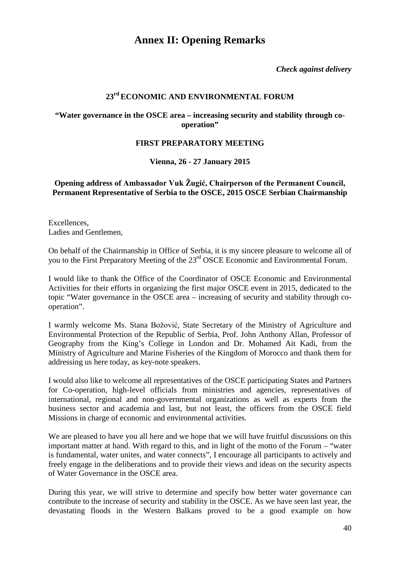## **Annex II: Opening Remarks**

*Check against delivery*

## **23rd ECONOMIC AND ENVIRONMENTAL FORUM**

#### <span id="page-39-0"></span>**"Water governance in the OSCE area – increasing security and stability through cooperation"**

#### **FIRST PREPARATORY MEETING**

#### **Vienna, 26 - 27 January 2015**

#### <span id="page-39-1"></span>**Opening address of Ambassador Vuk Žugić, Chairperson of the Permanent Council, Permanent Representative of Serbia to the OSCE, 2015 OSCE Serbian Chairmanship**

Excellences, Ladies and Gentlemen,

On behalf of the Chairmanship in Office of Serbia, it is my sincere pleasure to welcome all of you to the First Preparatory Meeting of the 23<sup>rd</sup> OSCE Economic and Environmental Forum.

I would like to thank the Office of the Coordinator of OSCE Economic and Environmental Activities for their efforts in organizing the first major OSCE event in 2015, dedicated to the topic "Water governance in the OSCE area – increasing of security and stability through cooperation".

I warmly welcome Ms. Stana Božović, State Secretary of the Ministry of Agriculture and Environmental Protection of the Republic of Serbia, Prof. John Anthony Allan, Professor of Geography from the King's College in London and Dr. Mohamed Ait Kadi, from the Ministry of Agriculture and Marine Fisheries of the Kingdom of Morocco and thank them for addressing us here today, as key-note speakers.

I would also like to welcome all representatives of the OSCE participating States and Partners for Co-operation, high-level officials from ministries and agencies, representatives of international, regional and non-governmental organizations as well as experts from the business sector and academia and last, but not least, the officers from the OSCE field Missions in charge of economic and environmental activities.

We are pleased to have you all here and we hope that we will have fruitful discussions on this important matter at hand. With regard to this, and in light of the motto of the Forum – "water is fundamental, water unites, and water connects", I encourage all participants to actively and freely engage in the deliberations and to provide their views and ideas on the security aspects of Water Governance in the OSCE area.

During this year, we will strive to determine and specify how better water governance can contribute to the increase of security and stability in the OSCE. As we have seen last year, the devastating floods in the Western Balkans proved to be a good example on how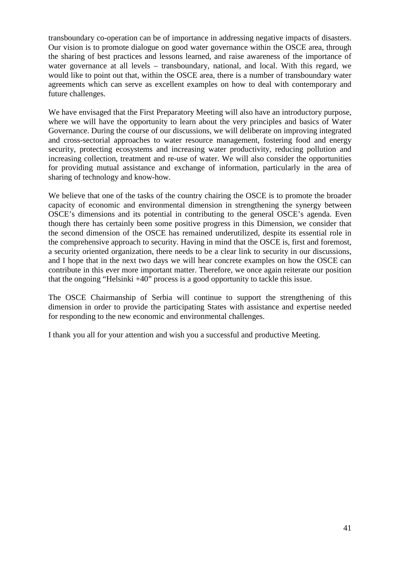transboundary co-operation can be of importance in addressing negative impacts of disasters. Our vision is to promote dialogue on good water governance within the OSCE area, through the sharing of best practices and lessons learned, and raise awareness of the importance of water governance at all levels – transboundary, national, and local. With this regard, we would like to point out that, within the OSCE area, there is a number of transboundary water agreements which can serve as excellent examples on how to deal with contemporary and future challenges.

We have envisaged that the First Preparatory Meeting will also have an introductory purpose, where we will have the opportunity to learn about the very principles and basics of Water Governance. During the course of our discussions, we will deliberate on improving integrated and cross-sectorial approaches to water resource management, fostering food and energy security, protecting ecosystems and increasing water productivity, reducing pollution and increasing collection, treatment and re-use of water. We will also consider the opportunities for providing mutual assistance and exchange of information, particularly in the area of sharing of technology and know-how.

We believe that one of the tasks of the country chairing the OSCE is to promote the broader capacity of economic and environmental dimension in strengthening the synergy between OSCE's dimensions and its potential in contributing to the general OSCE's agenda. Even though there has certainly been some positive progress in this Dimension, we consider that the second dimension of the OSCE has remained underutilized, despite its essential role in the comprehensive approach to security. Having in mind that the OSCE is, first and foremost, a security oriented organization, there needs to be a clear link to security in our discussions, and I hope that in the next two days we will hear concrete examples on how the OSCE can contribute in this ever more important matter. Therefore, we once again reiterate our position that the ongoing "Helsinki +40" process is a good opportunity to tackle this issue.

The OSCE Chairmanship of Serbia will continue to support the strengthening of this dimension in order to provide the participating States with assistance and expertise needed for responding to the new economic and environmental challenges.

I thank you all for your attention and wish you a successful and productive Meeting.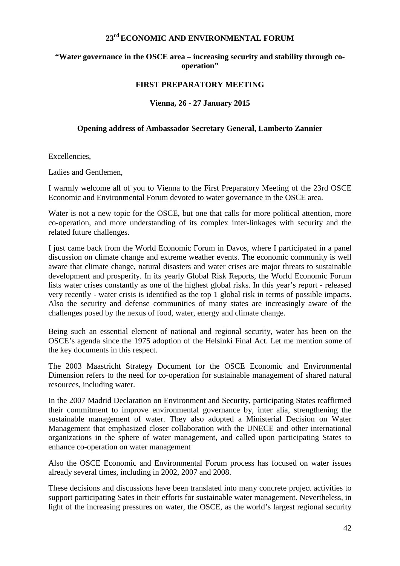#### **23rd ECONOMIC AND ENVIRONMENTAL FORUM**

#### **"Water governance in the OSCE area – increasing security and stability through cooperation"**

#### **FIRST PREPARATORY MEETING**

#### **Vienna, 26 - 27 January 2015**

#### <span id="page-41-0"></span>**Opening address of Ambassador Secretary General, Lamberto Zannier**

Excellencies,

Ladies and Gentlemen,

I warmly welcome all of you to Vienna to the First Preparatory Meeting of the 23rd OSCE Economic and Environmental Forum devoted to water governance in the OSCE area.

Water is not a new topic for the OSCE, but one that calls for more political attention, more co-operation, and more understanding of its complex inter-linkages with security and the related future challenges.

I just came back from the World Economic Forum in Davos, where I participated in a panel discussion on climate change and extreme weather events. The economic community is well aware that climate change, natural disasters and water crises are major threats to sustainable development and prosperity. In its yearly Global Risk Reports, the World Economic Forum lists water crises constantly as one of the highest global risks. In this year's report - released very recently - water crisis is identified as the top 1 global risk in terms of possible impacts. Also the security and defense communities of many states are increasingly aware of the challenges posed by the nexus of food, water, energy and climate change.

Being such an essential element of national and regional security, water has been on the OSCE's agenda since the 1975 adoption of the Helsinki Final Act. Let me mention some of the key documents in this respect.

The 2003 Maastricht Strategy Document for the OSCE Economic and Environmental Dimension refers to the need for co-operation for sustainable management of shared natural resources, including water.

In the 2007 Madrid Declaration on Environment and Security, participating States reaffirmed their commitment to improve environmental governance by, inter alia, strengthening the sustainable management of water. They also adopted a Ministerial Decision on Water Management that emphasized closer collaboration with the UNECE and other international organizations in the sphere of water management, and called upon participating States to enhance co-operation on water management

Also the OSCE Economic and Environmental Forum process has focused on water issues already several times, including in 2002, 2007 and 2008.

These decisions and discussions have been translated into many concrete project activities to support participating Sates in their efforts for sustainable water management. Nevertheless, in light of the increasing pressures on water, the OSCE, as the world's largest regional security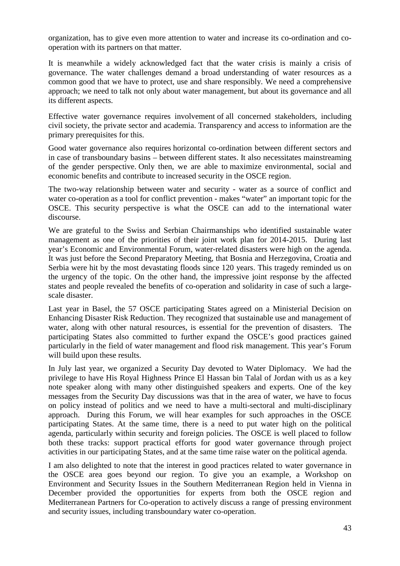organization, has to give even more attention to water and increase its co-ordination and cooperation with its partners on that matter.

It is meanwhile a widely acknowledged fact that the water crisis is mainly a crisis of governance. The water challenges demand a broad understanding of water resources as a common good that we have to protect, use and share responsibly. We need a comprehensive approach; we need to talk not only about water management, but about its governance and all its different aspects.

Effective water governance requires involvement of all concerned stakeholders, including civil society, the private sector and academia. Transparency and access to information are the primary prerequisites for this.

Good water governance also requires horizontal co-ordination between different sectors and in case of transboundary basins – between different states. It also necessitates mainstreaming of the gender perspective. Only then, we are able to maximize environmental, social and economic benefits and contribute to increased security in the OSCE region.

The two-way relationship between water and security - water as a source of conflict and water co-operation as a tool for conflict prevention - makes "water" an important topic for the OSCE. This security perspective is what the OSCE can add to the international water discourse.

We are grateful to the Swiss and Serbian Chairmanships who identified sustainable water management as one of the priorities of their joint work plan for 2014-2015. During last year's Economic and Environmental Forum, water-related disasters were high on the agenda. It was just before the Second Preparatory Meeting, that Bosnia and Herzegovina, Croatia and Serbia were hit by the most devastating floods since 120 years. This tragedy reminded us on the urgency of the topic. On the other hand, the impressive joint response by the affected states and people revealed the benefits of co-operation and solidarity in case of such a largescale disaster.

Last year in Basel, the 57 OSCE participating States agreed on a Ministerial Decision on Enhancing Disaster Risk Reduction. They recognized that sustainable use and management of water, along with other natural resources, is essential for the prevention of disasters. The participating States also committed to further expand the OSCE's good practices gained particularly in the field of water management and flood risk management. This year's Forum will build upon these results.

In July last year, we organized a Security Day devoted to Water Diplomacy. We had the privilege to have His Royal Highness Prince El Hassan bin Talal of Jordan with us as a key note speaker along with many other distinguished speakers and experts. One of the key messages from the Security Day discussions was that in the area of water, we have to focus on policy instead of politics and we need to have a multi-sectoral and multi-disciplinary approach. During this Forum, we will hear examples for such approaches in the OSCE participating States. At the same time, there is a need to put water high on the political agenda, particularly within security and foreign policies. The OSCE is well placed to follow both these tracks: support practical efforts for good water governance through project activities in our participating States, and at the same time raise water on the political agenda.

I am also delighted to note that the interest in good practices related to water governance in the OSCE area goes beyond our region. To give you an example, a Workshop on Environment and Security Issues in the Southern Mediterranean Region held in Vienna in December provided the opportunities for experts from both the OSCE region and Mediterranean Partners for Co-operation to actively discuss a range of pressing environment and security issues, including transboundary water co-operation.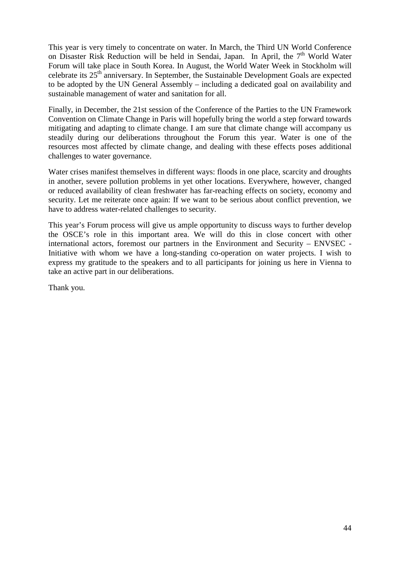This year is very timely to concentrate on water. In March, the Third UN World Conference on Disaster Risk Reduction will be held in Sendai, Japan. In April, the  $7<sup>th</sup>$  World Water Forum will take place in South Korea. In August, the World Water Week in Stockholm will celebrate its 25th anniversary. In September, the Sustainable Development Goals are expected to be adopted by the UN General Assembly – including a dedicated goal on availability and sustainable management of water and sanitation for all.

Finally, in December, the 21st session of the Conference of the Parties to the UN Framework Convention on Climate Change in Paris will hopefully bring the world a step forward towards mitigating and adapting to climate change. I am sure that climate change will accompany us steadily during our deliberations throughout the Forum this year. Water is one of the resources most affected by climate change, and dealing with these effects poses additional challenges to water governance.

Water crises manifest themselves in different ways: floods in one place, scarcity and droughts in another, severe pollution problems in yet other locations. Everywhere, however, changed or reduced availability of clean freshwater has far-reaching effects on society, economy and security. Let me reiterate once again: If we want to be serious about conflict prevention, we have to address water-related challenges to security.

This year's Forum process will give us ample opportunity to discuss ways to further develop the OSCE's role in this important area. We will do this in close concert with other international actors, foremost our partners in the Environment and Security – ENVSEC - Initiative with whom we have a long-standing co-operation on water projects. I wish to express my gratitude to the speakers and to all participants for joining us here in Vienna to take an active part in our deliberations.

Thank you.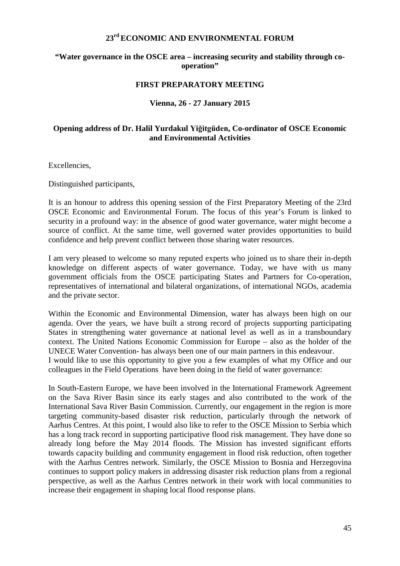#### **23rd ECONOMIC AND ENVIRONMENTAL FORUM**

#### **"Water governance in the OSCE area – increasing security and stability through cooperation"**

#### **FIRST PREPARATORY MEETING**

#### **Vienna, 26 - 27 January 2015**

#### <span id="page-44-0"></span>**Opening address of Dr. Halil Yurdakul Yiğitgüden, Co-ordinator of OSCE Economic and Environmental Activities**

Excellencies,

Distinguished participants,

It is an honour to address this opening session of the First Preparatory Meeting of the 23rd OSCE Economic and Environmental Forum. The focus of this year's Forum is linked to security in a profound way: in the absence of good water governance, water might become a source of conflict. At the same time, well governed water provides opportunities to build confidence and help prevent conflict between those sharing water resources.

I am very pleased to welcome so many reputed experts who joined us to share their in-depth knowledge on different aspects of water governance. Today, we have with us many government officials from the OSCE participating States and Partners for Co-operation, representatives of international and bilateral organizations, of international NGOs, academia and the private sector.

Within the Economic and Environmental Dimension, water has always been high on our agenda. Over the years, we have built a strong record of projects supporting participating States in strengthening water governance at national level as well as in a transboundary context. The United Nations Economic Commission for Europe – also as the holder of the UNECE Water Convention- has always been one of our main partners in this endeavour. I would like to use this opportunity to give you a few examples of what my Office and our colleagues in the Field Operations have been doing in the field of water governance:

In South-Eastern Europe, we have been involved in the International Framework Agreement on the Sava River Basin since its early stages and also contributed to the work of the International Sava River Basin Commission. Currently, our engagement in the region is more targeting community-based disaster risk reduction, particularly through the network of Aarhus Centres. At this point, I would also like to refer to the OSCE Mission to Serbia which has a long track record in supporting participative flood risk management. They have done so already long before the May 2014 floods. The Mission has invested significant efforts towards capacity building and community engagement in flood risk reduction, often together with the Aarhus Centres network. Similarly, the OSCE Mission to Bosnia and Herzegovina continues to support policy makers in addressing disaster risk reduction plans from a regional perspective, as well as the Aarhus Centres network in their work with local communities to increase their engagement in shaping local flood response plans.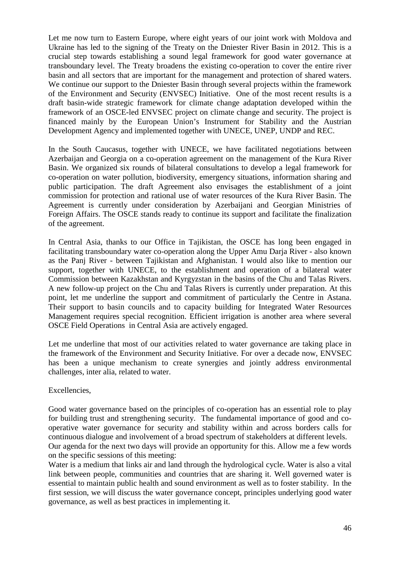Let me now turn to Eastern Europe, where eight years of our joint work with Moldova and Ukraine has led to the signing of the Treaty on the Dniester River Basin in 2012. This is a crucial step towards establishing a sound legal framework for good water governance at transboundary level. The Treaty broadens the existing co-operation to cover the entire river basin and all sectors that are important for the management and protection of shared waters. We continue our support to the Dniester Basin through several projects within the framework of the Environment and Security (ENVSEC) Initiative. One of the most recent results is a draft basin-wide strategic framework for climate change adaptation developed within the framework of an OSCE-led ENVSEC project on climate change and security. The project is financed mainly by the European Union's Instrument for Stability and the Austrian Development Agency and implemented together with UNECE, UNEP, UNDP and REC.

In the South Caucasus, together with UNECE, we have facilitated negotiations between Azerbaijan and Georgia on a co-operation agreement on the management of the Kura River Basin. We organized six rounds of bilateral consultations to develop a legal framework for co-operation on water pollution, biodiversity, emergency situations, information sharing and public participation. The draft Agreement also envisages the establishment of a joint commission for protection and rational use of water resources of the Kura River Basin. The Agreement is currently under consideration by Azerbaijani and Georgian Ministries of Foreign Affairs. The OSCE stands ready to continue its support and facilitate the finalization of the agreement.

In Central Asia, thanks to our Office in Tajikistan, the OSCE has long been engaged in facilitating transboundary water co-operation along the Upper Amu Darja River - also known as the Panj River - between Tajikistan and Afghanistan. I would also like to mention our support, together with UNECE, to the establishment and operation of a bilateral water Commission between Kazakhstan and Kyrgyzstan in the basins of the Chu and Talas Rivers. A new follow-up project on the Chu and Talas Rivers is currently under preparation. At this point, let me underline the support and commitment of particularly the Centre in Astana. Their support to basin councils and to capacity building for Integrated Water Resources Management requires special recognition. Efficient irrigation is another area where several OSCE Field Operations in Central Asia are actively engaged.

Let me underline that most of our activities related to water governance are taking place in the framework of the Environment and Security Initiative. For over a decade now, ENVSEC has been a unique mechanism to create synergies and jointly address environmental challenges, inter alia, related to water.

Excellencies,

Good water governance based on the principles of co-operation has an essential role to play for building trust and strengthening security. The fundamental importance of good and cooperative water governance for security and stability within and across borders calls for continuous dialogue and involvement of a broad spectrum of stakeholders at different levels. Our agenda for the next two days will provide an opportunity for this. Allow me a few words

on the specific sessions of this meeting:

Water is a medium that links air and land through the hydrological cycle. Water is also a vital link between people, communities and countries that are sharing it. Well governed water is essential to maintain public health and sound environment as well as to foster stability. In the first session, we will discuss the water governance concept, principles underlying good water governance, as well as best practices in implementing it.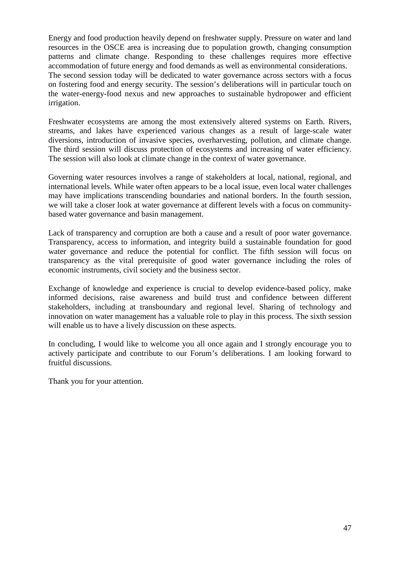Energy and food production heavily depend on freshwater supply. Pressure on water and land resources in the OSCE area is increasing due to population growth, changing consumption patterns and climate change. Responding to these challenges requires more effective accommodation of future energy and food demands as well as environmental considerations. The second session today will be dedicated to water governance across sectors with a focus on fostering food and energy security. The session's deliberations will in particular touch on the water-energy-food nexus and new approaches to sustainable hydropower and efficient irrigation.

Freshwater ecosystems are among the most extensively altered systems on Earth. Rivers, streams, and lakes have experienced various changes as a result of large-scale water diversions, introduction of invasive species, overharvesting, pollution, and climate change. The third session will discuss protection of ecosystems and increasing of water efficiency. The session will also look at climate change in the context of water governance.

Governing water resources involves a range of stakeholders at local, national, regional, and international levels. While water often appears to be a local issue, even local water challenges may have implications transcending boundaries and national borders. In the fourth session, we will take a closer look at water governance at different levels with a focus on communitybased water governance and basin management.

Lack of transparency and corruption are both a cause and a result of poor water governance. Transparency, access to information, and integrity build a sustainable foundation for good water governance and reduce the potential for conflict. The fifth session will focus on transparency as the vital prerequisite of good water governance including the roles of economic instruments, civil society and the business sector.

Exchange of knowledge and experience is crucial to develop evidence-based policy, make informed decisions, raise awareness and build trust and confidence between different stakeholders, including at transboundary and regional level. Sharing of technology and innovation on water management has a valuable role to play in this process. The sixth session will enable us to have a lively discussion on these aspects.

In concluding, I would like to welcome you all once again and I strongly encourage you to actively participate and contribute to our Forum's deliberations. I am looking forward to fruitful discussions.

Thank you for your attention.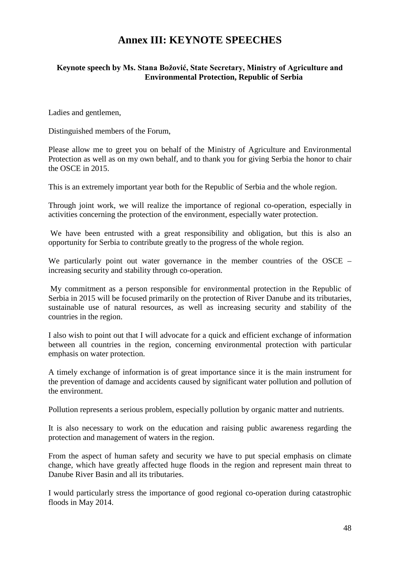## **Annex III: KEYNOTE SPEECHES**

#### <span id="page-47-1"></span><span id="page-47-0"></span>**Keynote speech by Ms. Stana Božović, State Secretary, Ministry of Agriculture and Environmental Protection, Republic of Serbia**

Ladies and gentlemen,

Distinguished members of the Forum,

Please allow me to greet you on behalf of the Ministry of Agriculture and Environmental Protection as well as on my own behalf, and to thank you for giving Serbia the honor to chair the OSCE in 2015.

This is an extremely important year both for the Republic of Serbia and the whole region.

Through joint work, we will realize the importance of regional co-operation, especially in activities concerning the protection of the environment, especially water protection.

We have been entrusted with a great responsibility and obligation, but this is also an opportunity for Serbia to contribute greatly to the progress of the whole region.

We particularly point out water governance in the member countries of the OSCE – increasing security and stability through co-operation.

My commitment as a person responsible for environmental protection in the Republic of Serbia in 2015 will be focused primarily on the protection of River Danube and its tributaries, sustainable use of natural resources, as well as increasing security and stability of the countries in the region.

I also wish to point out that I will advocate for a quick and efficient exchange of information between all countries in the region, concerning environmental protection with particular emphasis on water protection.

A timely exchange of information is of great importance since it is the main instrument for the prevention of damage and accidents caused by significant water pollution and pollution of the environment.

Pollution represents a serious problem, especially pollution by organic matter and nutrients.

It is also necessary to work on the education and raising public awareness regarding the protection and management of waters in the region.

From the aspect of human safety and security we have to put special emphasis on climate change, which have greatly affected huge floods in the region and represent main threat to Danube River Basin and all its tributaries.

I would particularly stress the importance of good regional co-operation during catastrophic floods in May 2014.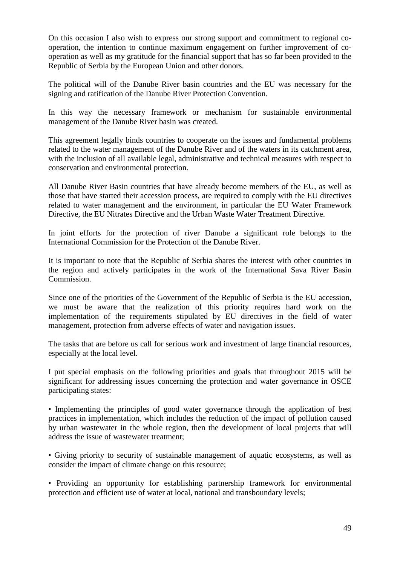On this occasion I also wish to express our strong support and commitment to regional cooperation, the intention to continue maximum engagement on further improvement of cooperation as well as my gratitude for the financial support that has so far been provided to the Republic of Serbia by the European Union and other donors.

The political will of the Danube River basin countries and the EU was necessary for the signing and ratification of the Danube River Protection Convention.

In this way the necessary framework or mechanism for sustainable environmental management of the Danube River basin was created.

This agreement legally binds countries to cooperate on the issues and fundamental problems related to the water management of the Danube River and of the waters in its catchment area, with the inclusion of all available legal, administrative and technical measures with respect to conservation and environmental protection.

All Danube River Basin countries that have already become members of the EU, as well as those that have started their accession process, are required to comply with the EU directives related to water management and the environment, in particular the EU Water Framework Directive, the EU Nitrates Directive and the Urban Waste Water Treatment Directive.

In joint efforts for the protection of river Danube a significant role belongs to the International Commission for the Protection of the Danube River.

It is important to note that the Republic of Serbia shares the interest with other countries in the region and actively participates in the work of the International Sava River Basin Commission.

Since one of the priorities of the Government of the Republic of Serbia is the EU accession, we must be aware that the realization of this priority requires hard work on the implementation of the requirements stipulated by EU directives in the field of water management, protection from adverse effects of water and navigation issues.

The tasks that are before us call for serious work and investment of large financial resources, especially at the local level.

I put special emphasis on the following priorities and goals that throughout 2015 will be significant for addressing issues concerning the protection and water governance in OSCE participating states:

• Implementing the principles of good water governance through the application of best practices in implementation, which includes the reduction of the impact of pollution caused by urban wastewater in the whole region, then the development of local projects that will address the issue of wastewater treatment;

• Giving priority to security of sustainable management of aquatic ecosystems, as well as consider the impact of climate change on this resource;

• Providing an opportunity for establishing partnership framework for environmental protection and efficient use of water at local, national and transboundary levels;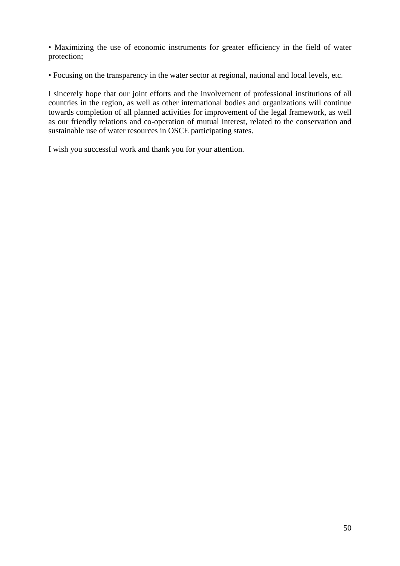• Maximizing the use of economic instruments for greater efficiency in the field of water protection;

• Focusing on the transparency in the water sector at regional, national and local levels, etc.

I sincerely hope that our joint efforts and the involvement of professional institutions of all countries in the region, as well as other international bodies and organizations will continue towards completion of all planned activities for improvement of the legal framework, as well as our friendly relations and co-operation of mutual interest, related to the conservation and sustainable use of water resources in OSCE participating states.

I wish you successful work and thank you for your attention.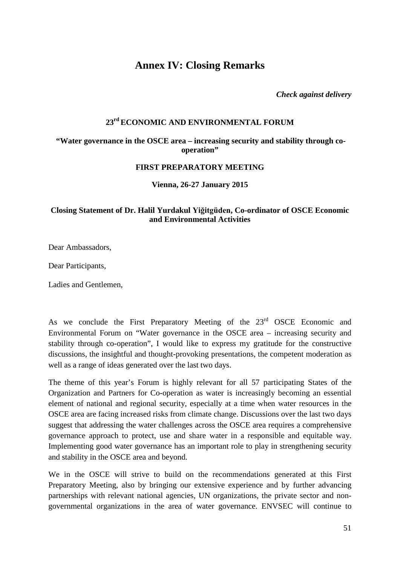## <span id="page-50-0"></span>**Annex IV: Closing Remarks**

*Check against delivery*

#### **23rd ECONOMIC AND ENVIRONMENTAL FORUM**

#### **"Water governance in the OSCE area – increasing security and stability through cooperation"**

#### **FIRST PREPARATORY MEETING**

**Vienna, 26-27 January 2015**

#### <span id="page-50-1"></span>**Closing Statement of Dr. Halil Yurdakul Yiğitgüden, Co-ordinator of OSCE Economic and Environmental Activities**

Dear Ambassadors,

Dear Participants,

Ladies and Gentlemen,

As we conclude the First Preparatory Meeting of the 23<sup>rd</sup> OSCE Economic and Environmental Forum on "Water governance in the OSCE area – increasing security and stability through co-operation", I would like to express my gratitude for the constructive discussions, the insightful and thought-provoking presentations, the competent moderation as well as a range of ideas generated over the last two days.

The theme of this year's Forum is highly relevant for all 57 participating States of the Organization and Partners for Co-operation as water is increasingly becoming an essential element of national and regional security, especially at a time when water resources in the OSCE area are facing increased risks from climate change. Discussions over the last two days suggest that addressing the water challenges across the OSCE area requires a comprehensive governance approach to protect, use and share water in a responsible and equitable way. Implementing good water governance has an important role to play in strengthening security and stability in the OSCE area and beyond.

We in the OSCE will strive to build on the recommendations generated at this First Preparatory Meeting, also by bringing our extensive experience and by further advancing partnerships with relevant national agencies, UN organizations, the private sector and nongovernmental organizations in the area of water governance. ENVSEC will continue to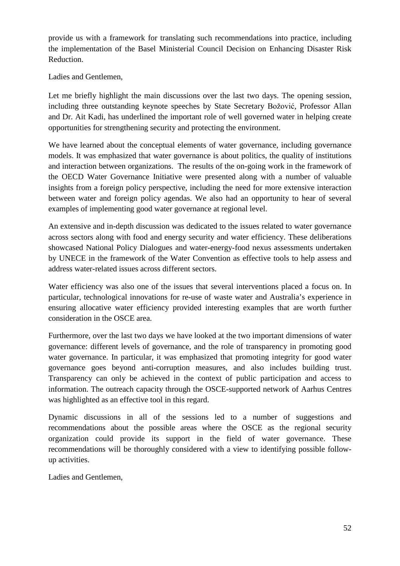provide us with a framework for translating such recommendations into practice, including the implementation of the Basel Ministerial Council Decision on Enhancing Disaster Risk Reduction.

Ladies and Gentlemen,

Let me briefly highlight the main discussions over the last two days. The opening session, including three outstanding keynote speeches by State Secretary Božović, Professor Allan and Dr. Ait Kadi, has underlined the important role of well governed water in helping create opportunities for strengthening security and protecting the environment.

We have learned about the conceptual elements of water governance, including governance models. It was emphasized that water governance is about politics, the quality of institutions and interaction between organizations. The results of the on-going work in the framework of the OECD Water Governance Initiative were presented along with a number of valuable insights from a foreign policy perspective, including the need for more extensive interaction between water and foreign policy agendas. We also had an opportunity to hear of several examples of implementing good water governance at regional level.

An extensive and in-depth discussion was dedicated to the issues related to water governance across sectors along with food and energy security and water efficiency. These deliberations showcased National Policy Dialogues and water-energy-food nexus assessments undertaken by UNECE in the framework of the Water Convention as effective tools to help assess and address water-related issues across different sectors.

Water efficiency was also one of the issues that several interventions placed a focus on. In particular, technological innovations for re-use of waste water and Australia's experience in ensuring allocative water efficiency provided interesting examples that are worth further consideration in the OSCE area.

Furthermore, over the last two days we have looked at the two important dimensions of water governance: different levels of governance, and the role of transparency in promoting good water governance. In particular, it was emphasized that promoting integrity for good water governance goes beyond anti-corruption measures, and also includes building trust. Transparency can only be achieved in the context of public participation and access to information. The outreach capacity through the OSCE-supported network of Aarhus Centres was highlighted as an effective tool in this regard.

Dynamic discussions in all of the sessions led to a number of suggestions and recommendations about the possible areas where the OSCE as the regional security organization could provide its support in the field of water governance. These recommendations will be thoroughly considered with a view to identifying possible followup activities.

Ladies and Gentlemen,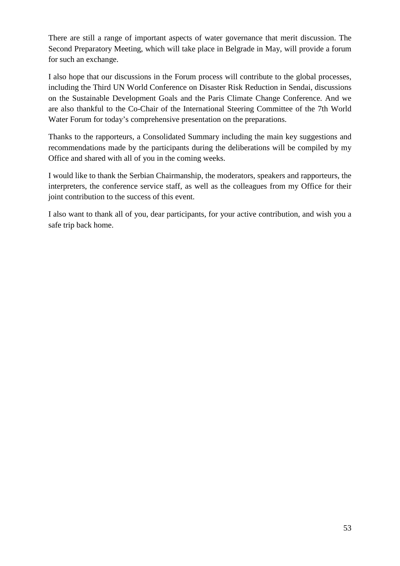There are still a range of important aspects of water governance that merit discussion. The Second Preparatory Meeting, which will take place in Belgrade in May, will provide a forum for such an exchange.

I also hope that our discussions in the Forum process will contribute to the global processes, including the Third UN World Conference on Disaster Risk Reduction in Sendai, discussions on the Sustainable Development Goals and the Paris Climate Change Conference. And we are also thankful to the Co-Chair of the International Steering Committee of the 7th World Water Forum for today's comprehensive presentation on the preparations.

Thanks to the rapporteurs, a Consolidated Summary including the main key suggestions and recommendations made by the participants during the deliberations will be compiled by my Office and shared with all of you in the coming weeks.

I would like to thank the Serbian Chairmanship, the moderators, speakers and rapporteurs, the interpreters, the conference service staff, as well as the colleagues from my Office for their joint contribution to the success of this event.

I also want to thank all of you, dear participants, for your active contribution, and wish you a safe trip back home.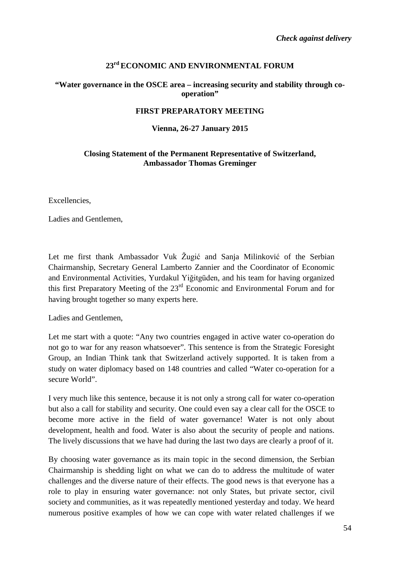#### **23rd ECONOMIC AND ENVIRONMENTAL FORUM**

#### **"Water governance in the OSCE area – increasing security and stability through cooperation"**

#### **FIRST PREPARATORY MEETING**

#### **Vienna, 26-27 January 2015**

#### <span id="page-53-0"></span>**Closing Statement of the Permanent Representative of Switzerland, Ambassador Thomas Greminger**

Excellencies,

Ladies and Gentlemen,

Let me first thank Ambassador Vuk Žugić and Sanja Milinković of the Serbian Chairmanship, Secretary General Lamberto Zannier and the Coordinator of Economic and Environmental Activities, Yurdakul Yiğitgüden, and his team for having organized this first Preparatory Meeting of the  $23<sup>rd</sup>$  Economic and Environmental Forum and for having brought together so many experts here.

Ladies and Gentlemen,

Let me start with a quote: "Any two countries engaged in active water co-operation do not go to war for any reason whatsoever". This sentence is from the Strategic Foresight Group, an Indian Think tank that Switzerland actively supported. It is taken from a study on water diplomacy based on 148 countries and called "Water co-operation for a secure World".

I very much like this sentence, because it is not only a strong call for water co-operation but also a call for stability and security. One could even say a clear call for the OSCE to become more active in the field of water governance! Water is not only about development, health and food. Water is also about the security of people and nations. The lively discussions that we have had during the last two days are clearly a proof of it.

By choosing water governance as its main topic in the second dimension, the Serbian Chairmanship is shedding light on what we can do to address the multitude of water challenges and the diverse nature of their effects. The good news is that everyone has a role to play in ensuring water governance: not only States, but private sector, civil society and communities, as it was repeatedly mentioned yesterday and today. We heard numerous positive examples of how we can cope with water related challenges if we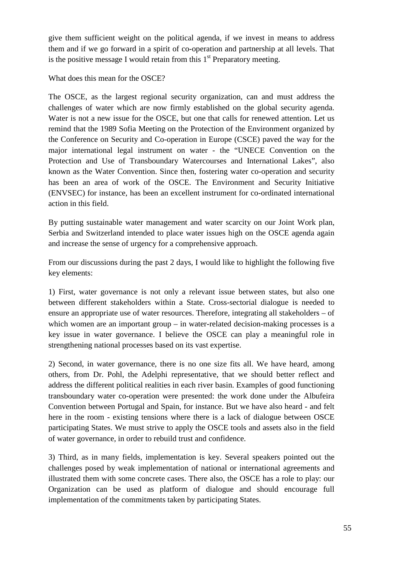give them sufficient weight on the political agenda, if we invest in means to address them and if we go forward in a spirit of co-operation and partnership at all levels. That is the positive message I would retain from this  $1<sup>st</sup>$  Preparatory meeting.

What does this mean for the OSCE?

The OSCE, as the largest regional security organization, can and must address the challenges of water which are now firmly established on the global security agenda. Water is not a new issue for the OSCE, but one that calls for renewed attention. Let us remind that the 1989 Sofia Meeting on the Protection of the Environment organized by the Conference on Security and Co-operation in Europe (CSCE) paved the way for the major international legal instrument on water - the "UNECE Convention on the Protection and Use of Transboundary Watercourses and International Lakes", also known as the Water Convention. Since then, fostering water co-operation and security has been an area of work of the OSCE. The Environment and Security Initiative (ENVSEC) for instance, has been an excellent instrument for co-ordinated international action in this field.

By putting sustainable water management and water scarcity on our Joint Work plan, Serbia and Switzerland intended to place water issues high on the OSCE agenda again and increase the sense of urgency for a comprehensive approach.

From our discussions during the past 2 days, I would like to highlight the following five key elements:

1) First, water governance is not only a relevant issue between states, but also one between different stakeholders within a State. Cross-sectorial dialogue is needed to ensure an appropriate use of water resources. Therefore, integrating all stakeholders – of which women are an important group – in water-related decision-making processes is a key issue in water governance. I believe the OSCE can play a meaningful role in strengthening national processes based on its vast expertise.

2) Second, in water governance, there is no one size fits all. We have heard, among others, from Dr. Pohl, the Adelphi representative, that we should better reflect and address the different political realities in each river basin. Examples of good functioning transboundary water co-operation were presented: the work done under the Albufeira Convention between Portugal and Spain, for instance. But we have also heard - and felt here in the room - existing tensions where there is a lack of dialogue between OSCE participating States. We must strive to apply the OSCE tools and assets also in the field of water governance, in order to rebuild trust and confidence.

3) Third, as in many fields, implementation is key. Several speakers pointed out the challenges posed by weak implementation of national or international agreements and illustrated them with some concrete cases. There also, the OSCE has a role to play: our Organization can be used as platform of dialogue and should encourage full implementation of the commitments taken by participating States.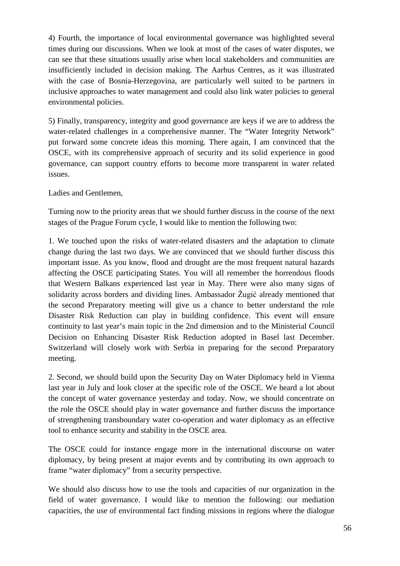4) Fourth, the importance of local environmental governance was highlighted several times during our discussions. When we look at most of the cases of water disputes, we can see that these situations usually arise when local stakeholders and communities are insufficiently included in decision making. The Aarhus Centres, as it was illustrated with the case of Bosnia-Herzegovina, are particularly well suited to be partners in inclusive approaches to water management and could also link water policies to general environmental policies.

5) Finally, transparency, integrity and good governance are keys if we are to address the water-related challenges in a comprehensive manner. The "Water Integrity Network" put forward some concrete ideas this morning. There again, I am convinced that the OSCE, with its comprehensive approach of security and its solid experience in good governance, can support country efforts to become more transparent in water related issues.

Ladies and Gentlemen,

Turning now to the priority areas that we should further discuss in the course of the next stages of the Prague Forum cycle, I would like to mention the following two:

1. We touched upon the risks of water-related disasters and the adaptation to climate change during the last two days. We are convinced that we should further discuss this important issue. As you know, flood and drought are the most frequent natural hazards affecting the OSCE participating States. You will all remember the horrendous floods that Western Balkans experienced last year in May. There were also many signs of solidarity across borders and dividing lines. Ambassador Žugić already mentioned that the second Preparatory meeting will give us a chance to better understand the role Disaster Risk Reduction can play in building confidence. This event will ensure continuity to last year's main topic in the 2nd dimension and to the Ministerial Council Decision on Enhancing Disaster Risk Reduction adopted in Basel last December. Switzerland will closely work with Serbia in preparing for the second Preparatory meeting.

2. Second, we should build upon the Security Day on Water Diplomacy held in Vienna last year in July and look closer at the specific role of the OSCE. We heard a lot about the concept of water governance yesterday and today. Now, we should concentrate on the role the OSCE should play in water governance and further discuss the importance of strengthening transboundary water co-operation and water diplomacy as an effective tool to enhance security and stability in the OSCE area.

The OSCE could for instance engage more in the international discourse on water diplomacy, by being present at major events and by contributing its own approach to frame "water diplomacy" from a security perspective.

We should also discuss how to use the tools and capacities of our organization in the field of water governance. I would like to mention the following: our mediation capacities, the use of environmental fact finding missions in regions where the dialogue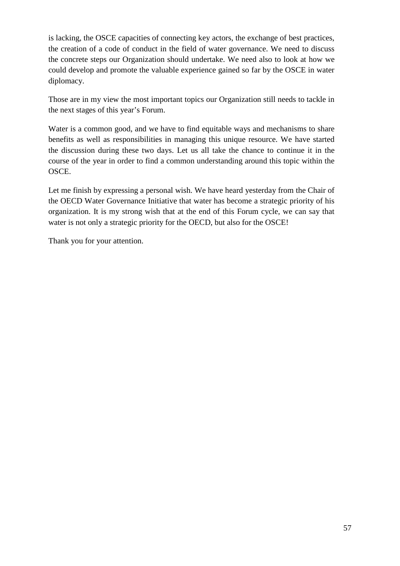is lacking, the OSCE capacities of connecting key actors, the exchange of best practices, the creation of a code of conduct in the field of water governance. We need to discuss the concrete steps our Organization should undertake. We need also to look at how we could develop and promote the valuable experience gained so far by the OSCE in water diplomacy.

Those are in my view the most important topics our Organization still needs to tackle in the next stages of this year's Forum.

Water is a common good, and we have to find equitable ways and mechanisms to share benefits as well as responsibilities in managing this unique resource. We have started the discussion during these two days. Let us all take the chance to continue it in the course of the year in order to find a common understanding around this topic within the OSCE.

Let me finish by expressing a personal wish. We have heard yesterday from the Chair of the OECD Water Governance Initiative that water has become a strategic priority of his organization. It is my strong wish that at the end of this Forum cycle, we can say that water is not only a strategic priority for the OECD, but also for the OSCE!

Thank you for your attention.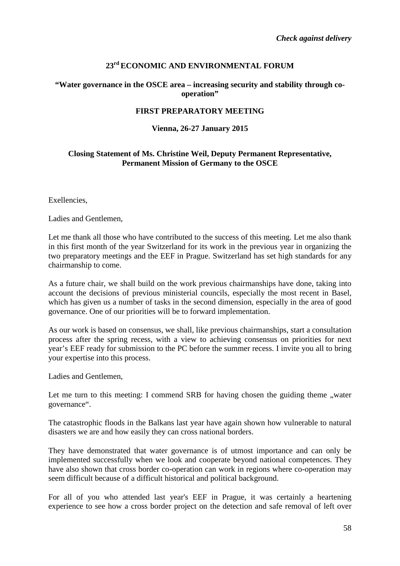#### **23rd ECONOMIC AND ENVIRONMENTAL FORUM**

#### **"Water governance in the OSCE area – increasing security and stability through cooperation"**

#### **FIRST PREPARATORY MEETING**

#### **Vienna, 26-27 January 2015**

#### <span id="page-57-0"></span>**Closing Statement of Ms. Christine Weil, Deputy Permanent Representative, Permanent Mission of Germany to the OSCE**

Exellencies,

Ladies and Gentlemen,

Let me thank all those who have contributed to the success of this meeting. Let me also thank in this first month of the year Switzerland for its work in the previous year in organizing the two preparatory meetings and the EEF in Prague. Switzerland has set high standards for any chairmanship to come.

As a future chair, we shall build on the work previous chairmanships have done, taking into account the decisions of previous ministerial councils, especially the most recent in Basel, which has given us a number of tasks in the second dimension, especially in the area of good governance. One of our priorities will be to forward implementation.

As our work is based on consensus, we shall, like previous chairmanships, start a consultation process after the spring recess, with a view to achieving consensus on priorities for next year's EEF ready for submission to the PC before the summer recess. I invite you all to bring your expertise into this process.

Ladies and Gentlemen,

Let me turn to this meeting: I commend SRB for having chosen the guiding theme  $,$  water governance".

The catastrophic floods in the Balkans last year have again shown how vulnerable to natural disasters we are and how easily they can cross national borders.

They have demonstrated that water governance is of utmost importance and can only be implemented successfully when we look and cooperate beyond national competences. They have also shown that cross border co-operation can work in regions where co-operation may seem difficult because of a difficult historical and political background.

For all of you who attended last year's EEF in Prague, it was certainly a heartening experience to see how a cross border project on the detection and safe removal of left over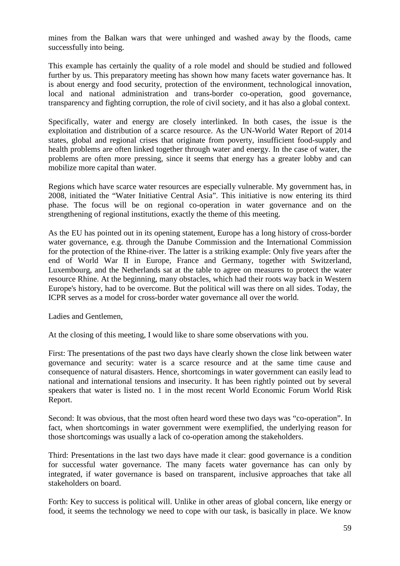mines from the Balkan wars that were unhinged and washed away by the floods, came successfully into being.

This example has certainly the quality of a role model and should be studied and followed further by us. This preparatory meeting has shown how many facets water governance has. It is about energy and food security, protection of the environment, technological innovation, local and national administration and trans-border co-operation, good governance, transparency and fighting corruption, the role of civil society, and it has also a global context.

Specifically, water and energy are closely interlinked. In both cases, the issue is the exploitation and distribution of a scarce resource. As the UN-World Water Report of 2014 states, global and regional crises that originate from poverty, insufficient food-supply and health problems are often linked together through water and energy. In the case of water, the problems are often more pressing, since it seems that energy has a greater lobby and can mobilize more capital than water.

Regions which have scarce water resources are especially vulnerable. My government has, in 2008, initiated the "Water Initiative Central Asia". This initiative is now entering its third phase. The focus will be on regional co-operation in water governance and on the strengthening of regional institutions, exactly the theme of this meeting.

As the EU has pointed out in its opening statement, Europe has a long history of cross-border water governance, e.g. through the Danube Commission and the International Commission for the protection of the Rhine-river. The latter is a striking example: Only five years after the end of World War II in Europe, France and Germany, together with Switzerland, Luxembourg, and the Netherlands sat at the table to agree on measures to protect the water resource Rhine. At the beginning, many obstacles, which had their roots way back in Western Europe's history, had to be overcome. But the political will was there on all sides. Today, the ICPR serves as a model for cross-border water governance all over the world.

Ladies and Gentlemen,

At the closing of this meeting, I would like to share some observations with you.

First: The presentations of the past two days have clearly shown the close link between water governance and security: water is a scarce resource and at the same time cause and consequence of natural disasters. Hence, shortcomings in water government can easily lead to national and international tensions and insecurity. It has been rightly pointed out by several speakers that water is listed no. 1 in the most recent World Economic Forum World Risk Report.

Second: It was obvious, that the most often heard word these two days was "co-operation". In fact, when shortcomings in water government were exemplified, the underlying reason for those shortcomings was usually a lack of co-operation among the stakeholders.

Third: Presentations in the last two days have made it clear: good governance is a condition for successful water governance. The many facets water governance has can only by integrated, if water governance is based on transparent, inclusive approaches that take all stakeholders on board.

Forth: Key to success is political will. Unlike in other areas of global concern, like energy or food, it seems the technology we need to cope with our task, is basically in place. We know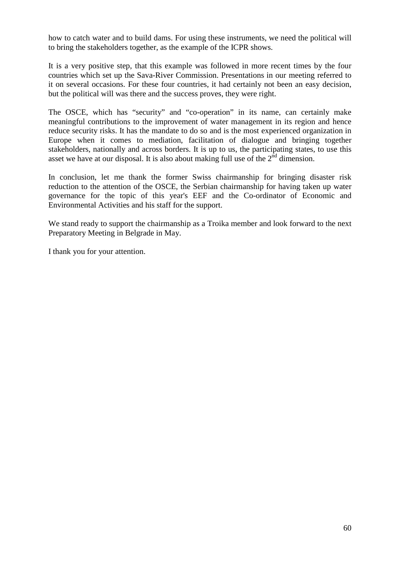how to catch water and to build dams. For using these instruments, we need the political will to bring the stakeholders together, as the example of the ICPR shows.

It is a very positive step, that this example was followed in more recent times by the four countries which set up the Sava-River Commission. Presentations in our meeting referred to it on several occasions. For these four countries, it had certainly not been an easy decision, but the political will was there and the success proves, they were right.

The OSCE, which has "security" and "co-operation" in its name, can certainly make meaningful contributions to the improvement of water management in its region and hence reduce security risks. It has the mandate to do so and is the most experienced organization in Europe when it comes to mediation, facilitation of dialogue and bringing together stakeholders, nationally and across borders. It is up to us, the participating states, to use this asset we have at our disposal. It is also about making full use of the  $2<sup>nd</sup>$  dimension.

In conclusion, let me thank the former Swiss chairmanship for bringing disaster risk reduction to the attention of the OSCE, the Serbian chairmanship for having taken up water governance for the topic of this year's EEF and the Co-ordinator of Economic and Environmental Activities and his staff for the support.

We stand ready to support the chairmanship as a Troika member and look forward to the next Preparatory Meeting in Belgrade in May.

I thank you for your attention.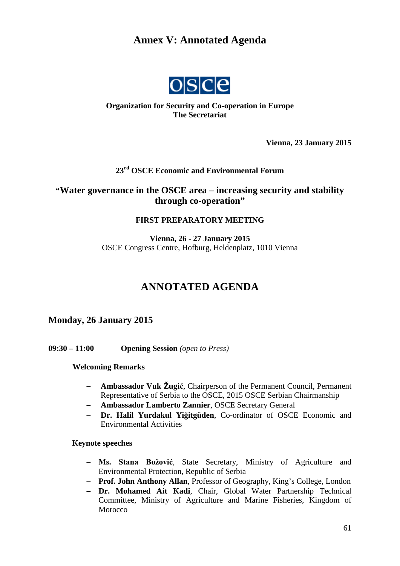## <span id="page-60-0"></span>**Annex V: Annotated Agenda**



#### **Organization for Security and Co-operation in Europe The Secretariat**

**Vienna, 23 January 2015**

#### **23rd OSCE Economic and Environmental Forum**

#### **"Water governance in the OSCE area – increasing security and stability through co-operation"**

#### **FIRST PREPARATORY MEETING**

**Vienna, 26 - 27 January 2015** OSCE Congress Centre, Hofburg, Heldenplatz, 1010 Vienna

## **ANNOTATED AGENDA**

#### **Monday, 26 January 2015**

**09:30 – 11:00 Opening Session** *(open to Press)*

#### **Welcoming Remarks**

- − **Ambassador Vuk Žugić**, Chairperson of the Permanent Council, Permanent Representative of Serbia to the OSCE, 2015 OSCE Serbian Chairmanship
- − **Ambassador Lamberto Zannier**, OSCE Secretary General
- − **Dr. Halil Yurdakul Yiğitgüden**, Co-ordinator of OSCE Economic and Environmental Activities

#### **Keynote speeches**

- − **Ms. Stana Božović**, State Secretary, Ministry of Agriculture and Environmental Protection, Republic of Serbia
- − **Prof. John Anthony Allan**, Professor of Geography, King's College, London
- − **Dr. Mohamed Ait Kadi**, Chair, Global Water Partnership Technical Committee, Ministry of Agriculture and Marine Fisheries, Kingdom of Morocco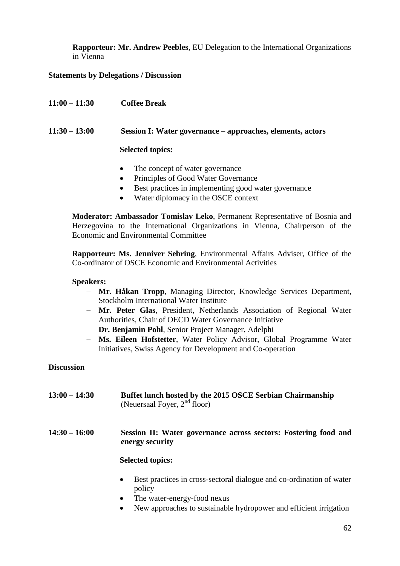**Rapporteur: Mr. Andrew Peebles**, EU Delegation to the International Organizations in Vienna

#### **Statements by Delegations / Discussion**

| $11:00 - 11:30$ | <b>Coffee Break</b>                                                                                                                                                                                                                                                                                                                                                                                                                                                                                         |
|-----------------|-------------------------------------------------------------------------------------------------------------------------------------------------------------------------------------------------------------------------------------------------------------------------------------------------------------------------------------------------------------------------------------------------------------------------------------------------------------------------------------------------------------|
| $11:30 - 13:00$ | Session I: Water governance – approaches, elements, actors                                                                                                                                                                                                                                                                                                                                                                                                                                                  |
|                 | <b>Selected topics:</b>                                                                                                                                                                                                                                                                                                                                                                                                                                                                                     |
|                 | The concept of water governance<br>$\bullet$<br>Principles of Good Water Governance<br>$\bullet$<br>Best practices in implementing good water governance<br>$\bullet$<br>$\mathbf{W}$ $\mathbf{W}$ $\mathbf{W}$ $\mathbf{W}$ $\mathbf{W}$ $\mathbf{W}$ $\mathbf{W}$ $\mathbf{W}$ $\mathbf{W}$ $\mathbf{W}$ $\mathbf{W}$ $\mathbf{W}$ $\mathbf{W}$ $\mathbf{W}$ $\mathbf{W}$ $\mathbf{W}$ $\mathbf{W}$ $\mathbf{W}$ $\mathbf{W}$ $\mathbf{W}$ $\mathbf{W}$ $\mathbf{W}$ $\mathbf{W}$ $\mathbf{W}$ $\mathbf{$ |

• Water diplomacy in the OSCE context

**Moderator: Ambassador Tomislav Leko**, Permanent Representative of Bosnia and Herzegovina to the International Organizations in Vienna, Chairperson of the Economic and Environmental Committee

**Rapporteur: Ms. Jenniver Sehring**, Environmental Affairs Adviser, Office of the Co-ordinator of OSCE Economic and Environmental Activities

#### **Speakers:**

- − **Mr. Håkan Tropp**, Managing Director, Knowledge Services Department, Stockholm International Water Institute
- − **Mr. Peter Glas**, President, Netherlands Association of Regional Water Authorities, Chair of OECD Water Governance Initiative
- − **Dr. Benjamin Pohl**, Senior Project Manager, Adelphi
- − **Ms. Eileen Hofstetter**, Water Policy Advisor, Global Programme Water Initiatives, Swiss Agency for Development and Co-operation

#### **Discussion**

**13:00 – 14:30 Buffet lunch hosted by the 2015 OSCE Serbian Chairmanship**  (Neuersaal Foyer, 2<sup>nd</sup> floor)

#### **14:30 – 16:00 Session II: Water governance across sectors: Fostering food and energy security**

#### **Selected topics:**

- Best practices in cross-sectoral dialogue and co-ordination of water policy
- The water-energy-food nexus
- New approaches to sustainable hydropower and efficient irrigation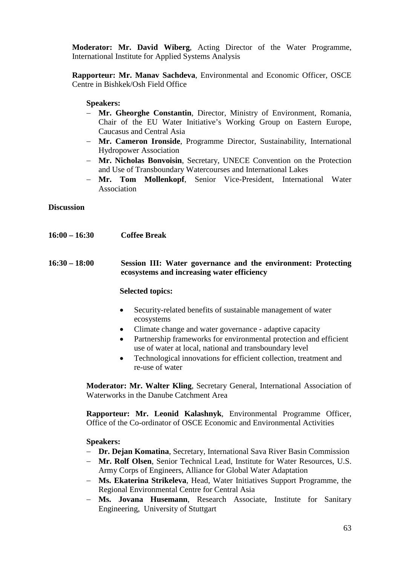**Moderator: Mr. David Wiberg**, Acting Director of the Water Programme, International Institute for Applied Systems Analysis

**Rapporteur: Mr. Manav Sachdeva**, Environmental and Economic Officer, OSCE Centre in Bishkek/Osh Field Office

#### **Speakers:**

- − **Mr. Gheorghe Constantin**, Director, Ministry of Environment, Romania, Chair of the EU Water Initiative's Working Group on Eastern Europe, Caucasus and Central Asia
- − **Mr. Cameron Ironside**, Programme Director, Sustainability, International Hydropower Association
- − **Mr. Nicholas Bonvoisin**, Secretary, UNECE Convention on the Protection and Use of Transboundary Watercourses and International Lakes
- − **Mr. Tom Mollenkopf**, Senior Vice-President, International Water Association

**Discussion**

- **16:00 – 16:30 Coffee Break**
- **16:30 – 18:00 Session III: Water governance and the environment: Protecting ecosystems and increasing water efficiency**

#### **Selected topics:**

- Security-related benefits of sustainable management of water ecosystems
- Climate change and water governance adaptive capacity
- Partnership frameworks for environmental protection and efficient use of water at local, national and transboundary level
- Technological innovations for efficient collection, treatment and re-use of water

**Moderator: Mr. Walter Kling**, Secretary General, International Association of Waterworks in the Danube Catchment Area

**Rapporteur: Mr. Leonid Kalashnyk**, Environmental Programme Officer, Office of the Co-ordinator of OSCE Economic and Environmental Activities

**Speakers:**

- − **Dr. Dejan Komatina**, Secretary, International Sava River Basin Commission
- − **Mr. Rolf Olsen**, Senior Technical Lead, Institute for Water Resources, U.S. Army Corps of Engineers, Alliance for Global Water Adaptation
- − **Ms. Ekaterina Strikeleva**, Head, Water Initiatives Support Programme, the Regional Environmental Centre for Central Asia
- − **Ms. Jovana Husemann**, Research Associate, Institute for Sanitary Engineering, University of Stuttgart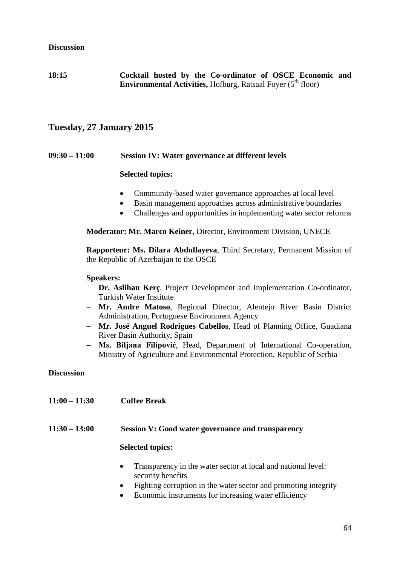#### **Discussion**

**18:15 Cocktail hosted by the Co-ordinator of OSCE Economic and Environmental Activities, Hofburg, Ratsaal Foyer (5<sup>th</sup> floor)** 

#### **Tuesday, 27 January 2015**

#### **09:30 – 11:00 Session IV: Water governance at different levels**

#### **Selected topics:**

- Community-based water governance approaches at local level
- Basin management approaches across administrative boundaries
- Challenges and opportunities in implementing water sector reforms

**Moderator: Mr. Marco Keiner**, Director, Environment Division, UNECE

**Rapporteur: Ms. Dilara Abdullayeva**, Third Secretary, Permanent Mission of the Republic of Azerbaijan to the OSCE

#### **Speakers:**

- − **Dr. Aslihan Kerç**, Project Development and Implementation Co-ordinator, Turkish Water Institute
- − **Mr. Andre Matoso**, Regional Director, Alentejo River Basin District Administration, Portuguese Environment Agency
- − **Mr. José Anguel Rodrigues Cabellos**, Head of Planning Office, Guadiana River Basin Authority, Spain
- − **Ms. Biljana Filipović**, Head, Department of International Co-operation, Ministry of Agriculture and Environmental Protection, Republic of Serbia

**Discussion**

**11:00 – 11:30 Coffee Break**

#### **11:30 – 13:00 Session V: Good water governance and transparency**

#### **Selected topics:**

- Transparency in the water sector at local and national level: security benefits
- Fighting corruption in the water sector and promoting integrity
- Economic instruments for increasing water efficiency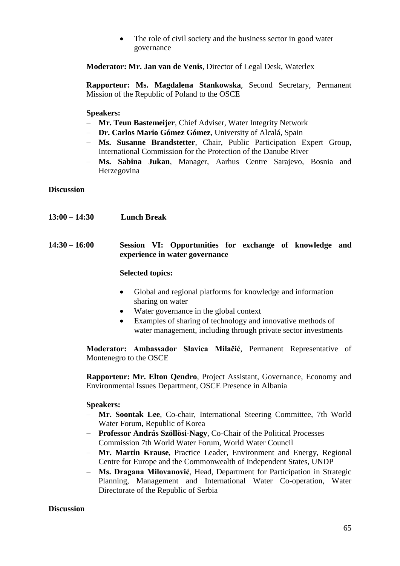• The role of civil society and the business sector in good water governance

**Moderator: Mr. Jan van de Venis**, Director of Legal Desk, Waterlex

**Rapporteur: Ms. Magdalena Stankowska**, Second Secretary, Permanent Mission of the Republic of Poland to the OSCE

**Speakers:**

- − **Mr. Teun Bastemeijer**, Chief Adviser, Water Integrity Network
- − **Dr. Carlos Mario Gómez Gómez**, University of Alcalá, Spain
- − **Ms. Susanne Brandstetter**, Chair, Public Participation Expert Group, International Commission for the Protection of the Danube River
- − **Ms. Sabina Jukan**, Manager, Aarhus Centre Sarajevo, Bosnia and Herzegovina

**Discussion**

**13:00 – 14:30 Lunch Break**

#### **14:30 – 16:00 Session VI: Opportunities for exchange of knowledge and experience in water governance**

#### **Selected topics:**

- Global and regional platforms for knowledge and information sharing on water
- Water governance in the global context
- Examples of sharing of technology and innovative methods of water management, including through private sector investments

**Moderator: Ambassador Slavica Milačić**, Permanent Representative of Montenegro to the OSCE

**Rapporteur: Mr. Elton Qendro**, Project Assistant, Governance, Economy and Environmental Issues Department, OSCE Presence in Albania

#### **Speakers:**

- − **Mr. Soontak Lee**, Co-chair, International Steering Committee, 7th World Water Forum, Republic of Korea
- − **Professor András Szöllösi-Nagy**, Co-Chair of the Political Processes Commission 7th World Water Forum, World Water Council
- − **Mr. Martin Krause**, Practice Leader, Environment and Energy, Regional Centre for Europe and the Commonwealth of Independent States, UNDP
- − **Ms. Dragana Milovanović**, Head, Department for Participation in Strategic Planning, Management and International Water Co-operation, Water Directorate of the Republic of Serbia

#### **Discussion**